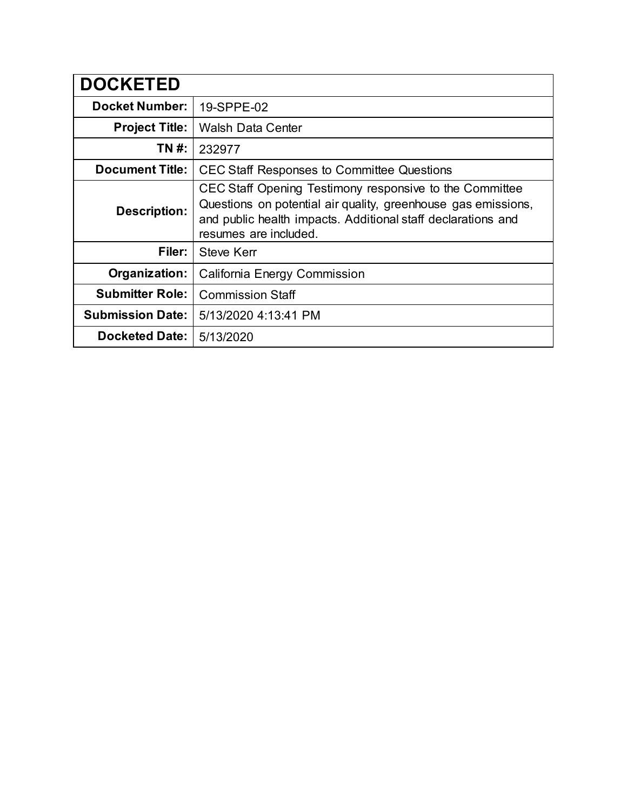| <b>DOCKETED</b>         |                                                                                                                                                                                                                   |
|-------------------------|-------------------------------------------------------------------------------------------------------------------------------------------------------------------------------------------------------------------|
| <b>Docket Number:</b>   | 19-SPPE-02                                                                                                                                                                                                        |
| <b>Project Title:</b>   | <b>Walsh Data Center</b>                                                                                                                                                                                          |
| TN #:                   | 232977                                                                                                                                                                                                            |
| <b>Document Title:</b>  | <b>CEC Staff Responses to Committee Questions</b>                                                                                                                                                                 |
| <b>Description:</b>     | CEC Staff Opening Testimony responsive to the Committee<br>Questions on potential air quality, greenhouse gas emissions,<br>and public health impacts. Additional staff declarations and<br>resumes are included. |
| Filer:                  | <b>Steve Kerr</b>                                                                                                                                                                                                 |
| Organization:           | California Energy Commission                                                                                                                                                                                      |
| <b>Submitter Role:</b>  | <b>Commission Staff</b>                                                                                                                                                                                           |
| <b>Submission Date:</b> | 5/13/2020 4:13:41 PM                                                                                                                                                                                              |
| <b>Docketed Date:</b>   | 5/13/2020                                                                                                                                                                                                         |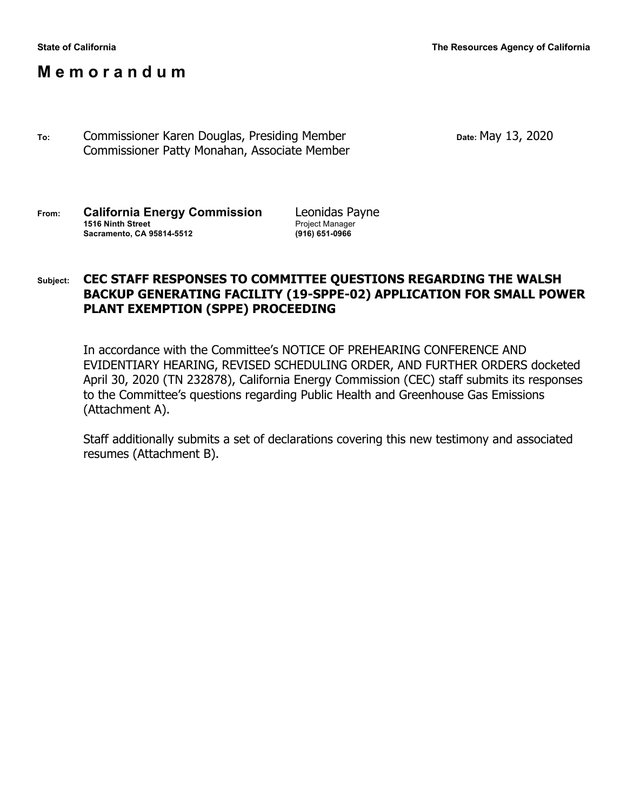# **M e m o r a n d u m**

**To:** Commissioner Karen Douglas, Presiding Member **Date:** May 13, 2020 Commissioner Patty Monahan, Associate Member

| From: | <b>California Energy Commission</b> | Leonidas Payne         |
|-------|-------------------------------------|------------------------|
|       | 1516 Ninth Street                   | <b>Project Manager</b> |
|       | <b>Sacramento, CA 95814-5512</b>    | (916) 651-0966         |

### **Subject: CEC STAFF RESPONSES TO COMMITTEE QUESTIONS REGARDING THE WALSH BACKUP GENERATING FACILITY (19-SPPE-02) APPLICATION FOR SMALL POWER PLANT EXEMPTION (SPPE) PROCEEDING**

In accordance with the Committee's NOTICE OF PREHEARING CONFERENCE AND EVIDENTIARY HEARING, REVISED SCHEDULING ORDER, AND FURTHER ORDERS docketed April 30, 2020 (TN 232878), California Energy Commission (CEC) staff submits its responses to the Committee's questions regarding Public Health and Greenhouse Gas Emissions (Attachment A).

Staff additionally submits a set of declarations covering this new testimony and associated resumes (Attachment B).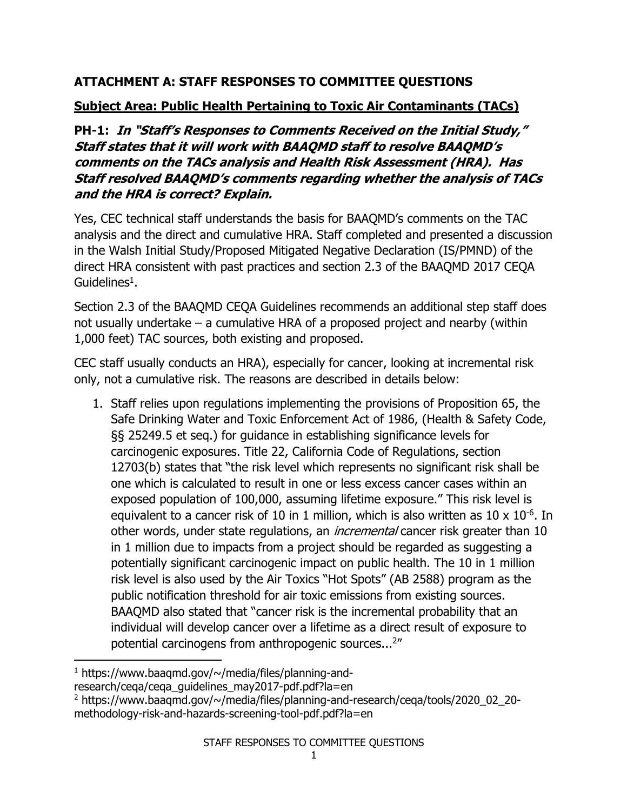# **ATTACHMENT A: STAFF RESPONSES TO COMMITTEE QUESTIONS**

# **Subject Area: Public Health Pertaining to Toxic Air Contaminants (TACs)**

**PH-1: In "Staff's Responses to Comments Received on the Initial Study," Staff states that it will work with BAAQMD staff to resolve BAAQMD's comments on the TACs analysis and Health Risk Assessment (HRA). Has Staff resolved BAAQMD's comments regarding whether the analysis of TACs and the HRA is correct? Explain.**

Yes, CEC technical staff understands the basis for BAAQMD's comments on the TAC analysis and the direct and cumulative HRA. Staff completed and presented a discussion in the Walsh Initial Study/Proposed Mitigated Negative Declaration (IS/PMND) of the direct HRA consistent with past practices and section 2.3 of the BAAQMD 2017 CEQA Guidelines<sup>1</sup>.

Section 2.3 of the BAAQMD CEQA Guidelines recommends an additional step staff does not usually undertake – a cumulative HRA of a proposed project and nearby (within 1,000 feet) TAC sources, both existing and proposed.

CEC staff usually conducts an HRA), especially for cancer, looking at incremental risk only, not a cumulative risk. The reasons are described in details below:

1. Staff relies upon regulations implementing the provisions of Proposition 65, the Safe Drinking Water and Toxic Enforcement Act of 1986, (Health & Safety Code, §§ 25249.5 et seq.) for guidance in establishing significance levels for carcinogenic exposures. Title 22, California Code of Regulations, section 12703(b) states that "the risk level which represents no significant risk shall be one which is calculated to result in one or less excess cancer cases within an exposed population of 100,000, assuming lifetime exposure." This risk level is equivalent to a cancer risk of 10 in 1 million, which is also written as  $10 \times 10^{-6}$ . In other words, under state regulations, an *incremental* cancer risk greater than 10 in 1 million due to impacts from a project should be regarded as suggesting a potentially significant carcinogenic impact on public health. The 10 in 1 million risk level is also used by the Air Toxics "Hot Spots" (AB 2588) program as the public notification threshold for air toxic emissions from existing sources. BAAQMD also stated that "cancer risk is the incremental probability that an individual will develop cancer over a lifetime as a direct result of exposure to potential carcinogens from anthropogenic sources...<sup>2"</sup>

 $1$  https://www.baaqmd.gov/ $\sim$ /media/files/planning-and-

research/ceqa/ceqa\_guidelines\_may2017-pdf.pdf?la=en

<sup>&</sup>lt;sup>2</sup> https://www.baaqmd.gov/~/media/files/planning-and-research/cega/tools/2020\_02\_20methodology-risk-and-hazards-screening-tool-pdf.pdf?la=en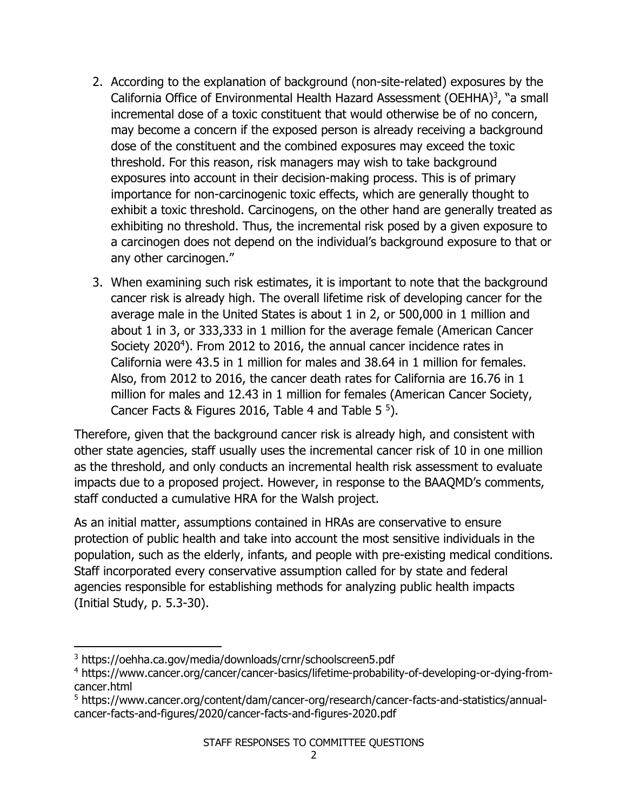- 2. According to the explanation of background (non-site-related) exposures by the California Office of Environmental Health Hazard Assessment (OEHHA)<sup>3</sup>, "a small incremental dose of a toxic constituent that would otherwise be of no concern, may become a concern if the exposed person is already receiving a background dose of the constituent and the combined exposures may exceed the toxic threshold. For this reason, risk managers may wish to take background exposures into account in their decision-making process. This is of primary importance for non-carcinogenic toxic effects, which are generally thought to exhibit a toxic threshold. Carcinogens, on the other hand are generally treated as exhibiting no threshold. Thus, the incremental risk posed by a given exposure to a carcinogen does not depend on the individual's background exposure to that or any other carcinogen."
- 3. When examining such risk estimates, it is important to note that the background cancer risk is already high. The overall lifetime risk of developing cancer for the average male in the United States is about 1 in 2, or 500,000 in 1 million and about 1 in 3, or 333,333 in 1 million for the average female (American Cancer Society 2020<sup>4</sup>). From 2012 to 2016, the annual cancer incidence rates in California were 43.5 in 1 million for males and 38.64 in 1 million for females. Also, from 2012 to 2016, the cancer death rates for California are 16.76 in 1 million for males and 12.43 in 1 million for females (American Cancer Society, Cancer Facts & Figures 2016, Table 4 and Table  $5^5$ ).

Therefore, given that the background cancer risk is already high, and consistent with other state agencies, staff usually uses the incremental cancer risk of 10 in one million as the threshold, and only conducts an incremental health risk assessment to evaluate impacts due to a proposed project. However, in response to the BAAQMD's comments, staff conducted a cumulative HRA for the Walsh project.

As an initial matter, assumptions contained in HRAs are conservative to ensure protection of public health and take into account the most sensitive individuals in the population, such as the elderly, infants, and people with pre-existing medical conditions. Staff incorporated every conservative assumption called for by state and federal agencies responsible for establishing methods for analyzing public health impacts (Initial Study, p. 5.3-30).

<sup>3</sup> https://oehha.ca.gov/media/downloads/crnr/schoolscreen5.pdf

<sup>4</sup> https://www.cancer.org/cancer/cancer-basics/lifetime-probability-of-developing-or-dying-fromcancer.html

<sup>5</sup> https://www.cancer.org/content/dam/cancer-org/research/cancer-facts-and-statistics/annualcancer-facts-and-figures/2020/cancer-facts-and-figures-2020.pdf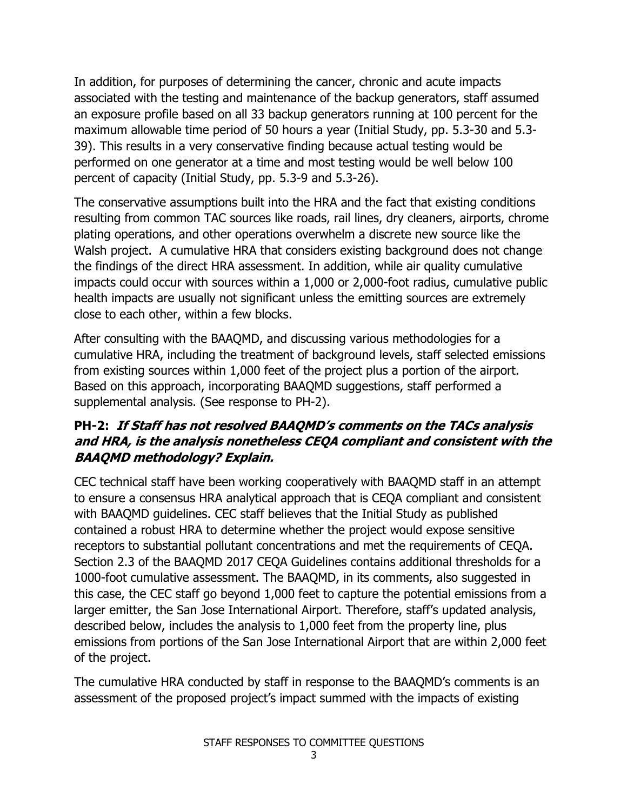In addition, for purposes of determining the cancer, chronic and acute impacts associated with the testing and maintenance of the backup generators, staff assumed an exposure profile based on all 33 backup generators running at 100 percent for the maximum allowable time period of 50 hours a year (Initial Study, pp. 5.3-30 and 5.3- 39). This results in a very conservative finding because actual testing would be performed on one generator at a time and most testing would be well below 100 percent of capacity (Initial Study, pp. 5.3-9 and 5.3-26).

The conservative assumptions built into the HRA and the fact that existing conditions resulting from common TAC sources like roads, rail lines, dry cleaners, airports, chrome plating operations, and other operations overwhelm a discrete new source like the Walsh project. A cumulative HRA that considers existing background does not change the findings of the direct HRA assessment. In addition, while air quality cumulative impacts could occur with sources within a 1,000 or 2,000-foot radius, cumulative public health impacts are usually not significant unless the emitting sources are extremely close to each other, within a few blocks.

After consulting with the BAAQMD, and discussing various methodologies for a cumulative HRA, including the treatment of background levels, staff selected emissions from existing sources within 1,000 feet of the project plus a portion of the airport. Based on this approach, incorporating BAAQMD suggestions, staff performed a supplemental analysis. (See response to PH-2).

# **PH-2: If Staff has not resolved BAAQMD's comments on the TACs analysis and HRA, is the analysis nonetheless CEQA compliant and consistent with the BAAQMD methodology? Explain.**

CEC technical staff have been working cooperatively with BAAQMD staff in an attempt to ensure a consensus HRA analytical approach that is CEQA compliant and consistent with BAAQMD guidelines. CEC staff believes that the Initial Study as published contained a robust HRA to determine whether the project would expose sensitive receptors to substantial pollutant concentrations and met the requirements of CEQA. Section 2.3 of the BAAQMD 2017 CEQA Guidelines contains additional thresholds for a 1000-foot cumulative assessment. The BAAQMD, in its comments, also suggested in this case, the CEC staff go beyond 1,000 feet to capture the potential emissions from a larger emitter, the San Jose International Airport. Therefore, staff's updated analysis, described below, includes the analysis to 1,000 feet from the property line, plus emissions from portions of the San Jose International Airport that are within 2,000 feet of the project.

The cumulative HRA conducted by staff in response to the BAAQMD's comments is an assessment of the proposed project's impact summed with the impacts of existing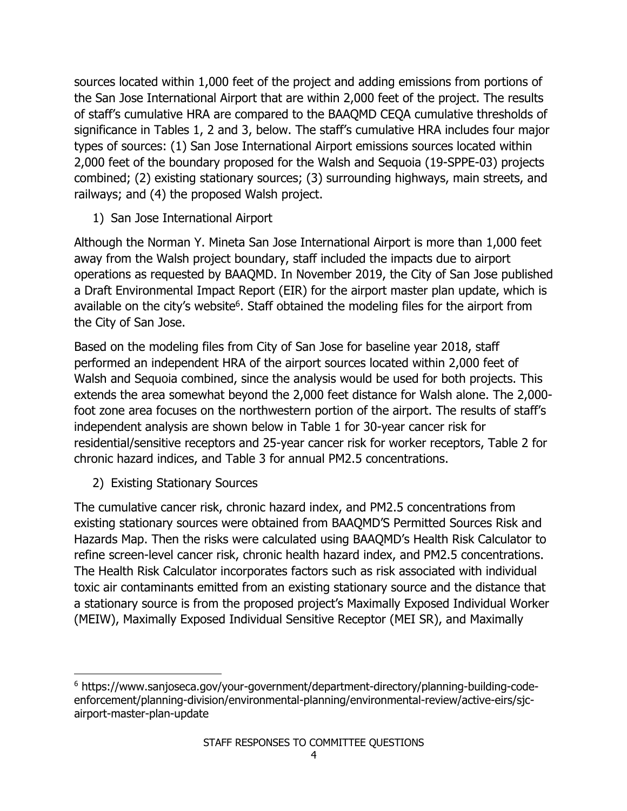sources located within 1,000 feet of the project and adding emissions from portions of the San Jose International Airport that are within 2,000 feet of the project. The results of staff's cumulative HRA are compared to the BAAQMD CEQA cumulative thresholds of significance in Tables 1, 2 and 3, below. The staff's cumulative HRA includes four major types of sources: (1) San Jose International Airport emissions sources located within 2,000 feet of the boundary proposed for the Walsh and Sequoia (19-SPPE-03) projects combined; (2) existing stationary sources; (3) surrounding highways, main streets, and railways; and (4) the proposed Walsh project.

# 1) San Jose International Airport

Although the Norman Y. Mineta San Jose International Airport is more than 1,000 feet away from the Walsh project boundary, staff included the impacts due to airport operations as requested by BAAQMD. In November 2019, the City of San Jose published a Draft Environmental Impact Report (EIR) for the airport master plan update, which is available on the city's website<sup>6</sup>. Staff obtained the modeling files for the airport from the City of San Jose.

Based on the modeling files from City of San Jose for baseline year 2018, staff performed an independent HRA of the airport sources located within 2,000 feet of Walsh and Sequoia combined, since the analysis would be used for both projects. This extends the area somewhat beyond the 2,000 feet distance for Walsh alone. The 2,000 foot zone area focuses on the northwestern portion of the airport. The results of staff's independent analysis are shown below in Table 1 for 30-year cancer risk for residential/sensitive receptors and 25-year cancer risk for worker receptors, Table 2 for chronic hazard indices, and Table 3 for annual PM2.5 concentrations.

2) Existing Stationary Sources

The cumulative cancer risk, chronic hazard index, and PM2.5 concentrations from existing stationary sources were obtained from BAAQMD'S Permitted Sources Risk and Hazards Map. Then the risks were calculated using BAAQMD's Health Risk Calculator to refine screen-level cancer risk, chronic health hazard index, and PM2.5 concentrations. The Health Risk Calculator incorporates factors such as risk associated with individual toxic air contaminants emitted from an existing stationary source and the distance that a stationary source is from the proposed project's Maximally Exposed Individual Worker (MEIW), Maximally Exposed Individual Sensitive Receptor (MEI SR), and Maximally

<sup>6</sup> https://www.sanjoseca.gov/your-government/department-directory/planning-building-codeenforcement/planning-division/environmental-planning/environmental-review/active-eirs/sjcairport-master-plan-update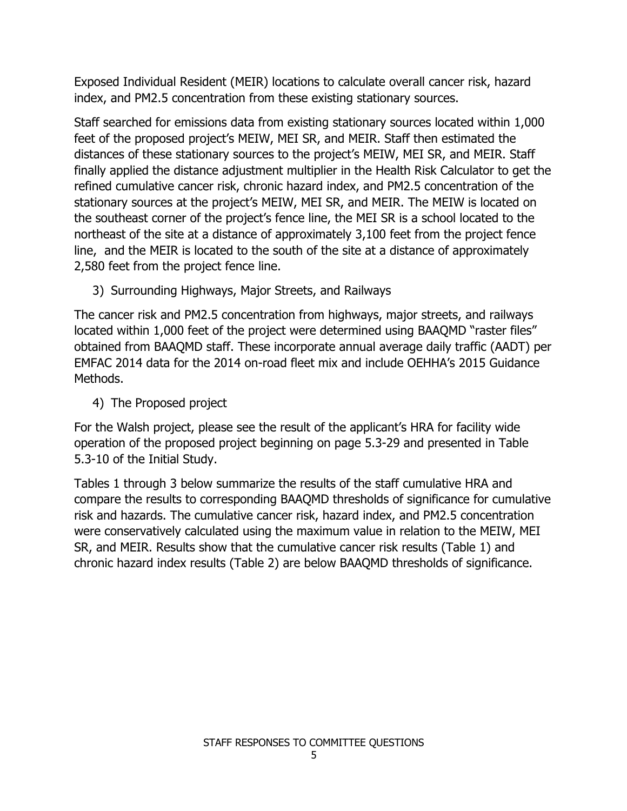Exposed Individual Resident (MEIR) locations to calculate overall cancer risk, hazard index, and PM2.5 concentration from these existing stationary sources.

Staff searched for emissions data from existing stationary sources located within 1,000 feet of the proposed project's MEIW, MEI SR, and MEIR. Staff then estimated the distances of these stationary sources to the project's MEIW, MEI SR, and MEIR. Staff finally applied the distance adjustment multiplier in the Health Risk Calculator to get the refined cumulative cancer risk, chronic hazard index, and PM2.5 concentration of the stationary sources at the project's MEIW, MEI SR, and MEIR. The MEIW is located on the southeast corner of the project's fence line, the MEI SR is a school located to the northeast of the site at a distance of approximately 3,100 feet from the project fence line, and the MEIR is located to the south of the site at a distance of approximately 2,580 feet from the project fence line.

3) Surrounding Highways, Major Streets, and Railways

The cancer risk and PM2.5 concentration from highways, major streets, and railways located within 1,000 feet of the project were determined using BAAQMD "raster files" obtained from BAAQMD staff. These incorporate annual average daily traffic (AADT) per EMFAC 2014 data for the 2014 on-road fleet mix and include OEHHA's 2015 Guidance Methods.

4) The Proposed project

For the Walsh project, please see the result of the applicant's HRA for facility wide operation of the proposed project beginning on page 5.3-29 and presented in Table 5.3-10 of the Initial Study.

Tables 1 through 3 below summarize the results of the staff cumulative HRA and compare the results to corresponding BAAQMD thresholds of significance for cumulative risk and hazards. The cumulative cancer risk, hazard index, and PM2.5 concentration were conservatively calculated using the maximum value in relation to the MEIW, MEI SR, and MEIR. Results show that the cumulative cancer risk results (Table 1) and chronic hazard index results (Table 2) are below BAAQMD thresholds of significance.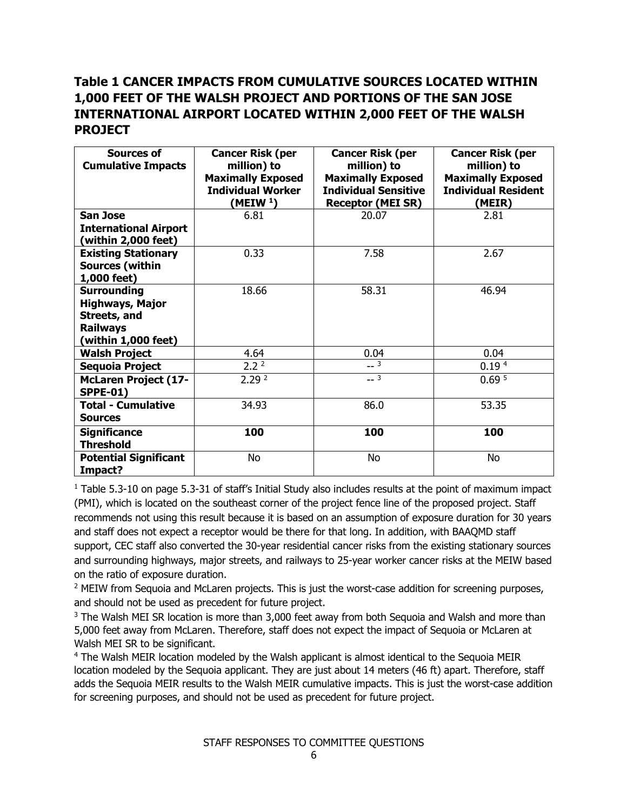# **Table 1 CANCER IMPACTS FROM CUMULATIVE SOURCES LOCATED WITHIN 1,000 FEET OF THE WALSH PROJECT AND PORTIONS OF THE SAN JOSE INTERNATIONAL AIRPORT LOCATED WITHIN 2,000 FEET OF THE WALSH PROJECT**

| <b>Sources of</b><br><b>Cumulative Impacts</b>                                                         | <b>Cancer Risk (per</b><br>million) to<br><b>Maximally Exposed</b><br><b>Individual Worker</b><br>(MEIW <sup>1</sup> ) | <b>Cancer Risk (per</b><br>million) to<br><b>Maximally Exposed</b><br><b>Individual Sensitive</b><br><b>Receptor (MEI SR)</b> | <b>Cancer Risk (per</b><br>million) to<br><b>Maximally Exposed</b><br><b>Individual Resident</b><br>(MEIR) |
|--------------------------------------------------------------------------------------------------------|------------------------------------------------------------------------------------------------------------------------|-------------------------------------------------------------------------------------------------------------------------------|------------------------------------------------------------------------------------------------------------|
| <b>San Jose</b><br><b>International Airport</b><br>(within 2,000 feet)                                 | 6.81                                                                                                                   | 20.07                                                                                                                         | 2.81                                                                                                       |
| <b>Existing Stationary</b><br><b>Sources (within</b><br>1,000 feet)                                    | 0.33                                                                                                                   | 7.58                                                                                                                          | 2.67                                                                                                       |
| <b>Surrounding</b><br><b>Highways, Major</b><br>Streets, and<br><b>Railways</b><br>(within 1,000 feet) | 18.66                                                                                                                  | 58.31                                                                                                                         | 46.94                                                                                                      |
| <b>Walsh Project</b>                                                                                   | 4.64                                                                                                                   | 0.04                                                                                                                          | 0.04                                                                                                       |
| Sequoia Project                                                                                        | 2.2 <sup>2</sup>                                                                                                       | $-3$                                                                                                                          | 0.19 <sup>4</sup>                                                                                          |
| <b>McLaren Project (17-</b><br><b>SPPE-01)</b>                                                         | 2.29 <sup>2</sup>                                                                                                      | $-3$                                                                                                                          | 0.69 <sup>5</sup>                                                                                          |
| <b>Total - Cumulative</b><br><b>Sources</b>                                                            | 34.93                                                                                                                  | 86.0                                                                                                                          | 53.35                                                                                                      |
| <b>Significance</b><br><b>Threshold</b>                                                                | 100                                                                                                                    | 100                                                                                                                           | 100                                                                                                        |
| <b>Potential Significant</b><br>Impact?                                                                | No                                                                                                                     | No                                                                                                                            | No                                                                                                         |

<sup>1</sup> Table 5.3-10 on page 5.3-31 of staff's Initial Study also includes results at the point of maximum impact (PMI), which is located on the southeast corner of the project fence line of the proposed project. Staff recommends not using this result because it is based on an assumption of exposure duration for 30 years and staff does not expect a receptor would be there for that long. In addition, with BAAQMD staff support, CEC staff also converted the 30-year residential cancer risks from the existing stationary sources and surrounding highways, major streets, and railways to 25-year worker cancer risks at the MEIW based on the ratio of exposure duration.

<sup>2</sup> MEIW from Sequoia and McLaren projects. This is just the worst-case addition for screening purposes, and should not be used as precedent for future project.

 $3$  The Walsh MEI SR location is more than 3,000 feet away from both Sequoia and Walsh and more than 5,000 feet away from McLaren. Therefore, staff does not expect the impact of Sequoia or McLaren at Walsh MEI SR to be significant.

<sup>4</sup> The Walsh MEIR location modeled by the Walsh applicant is almost identical to the Sequoia MEIR location modeled by the Sequoia applicant. They are just about 14 meters (46 ft) apart. Therefore, staff adds the Sequoia MEIR results to the Walsh MEIR cumulative impacts. This is just the worst-case addition for screening purposes, and should not be used as precedent for future project.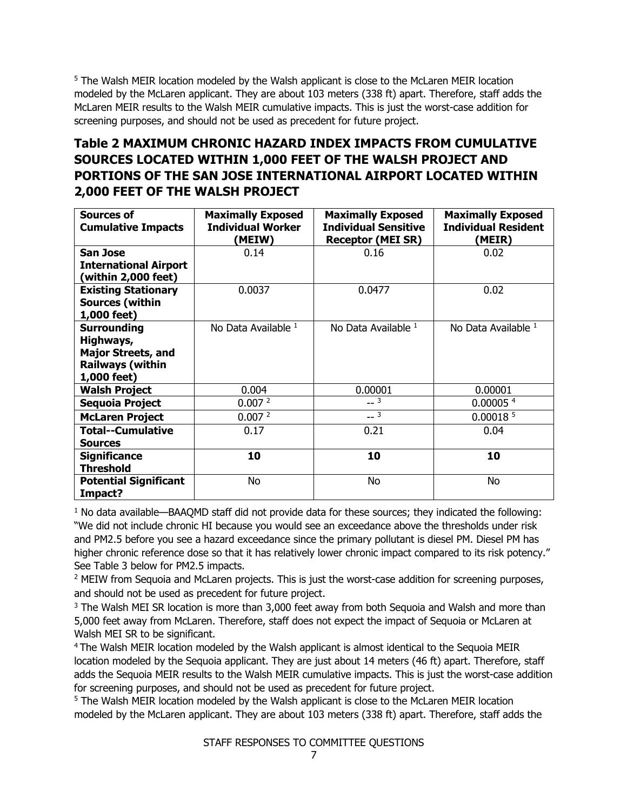<sup>5</sup> The Walsh MEIR location modeled by the Walsh applicant is close to the McLaren MEIR location modeled by the McLaren applicant. They are about 103 meters (338 ft) apart. Therefore, staff adds the McLaren MEIR results to the Walsh MEIR cumulative impacts. This is just the worst-case addition for screening purposes, and should not be used as precedent for future project.

# **Table 2 MAXIMUM CHRONIC HAZARD INDEX IMPACTS FROM CUMULATIVE SOURCES LOCATED WITHIN 1,000 FEET OF THE WALSH PROJECT AND PORTIONS OF THE SAN JOSE INTERNATIONAL AIRPORT LOCATED WITHIN 2,000 FEET OF THE WALSH PROJECT**

| Sources of                   | <b>Maximally Exposed</b>           | <b>Maximally Exposed</b>                                | <b>Maximally Exposed</b>             |
|------------------------------|------------------------------------|---------------------------------------------------------|--------------------------------------|
| <b>Cumulative Impacts</b>    | <b>Individual Worker</b><br>(MEIW) | <b>Individual Sensitive</b><br><b>Receptor (MEI SR)</b> | <b>Individual Resident</b><br>(MEIR) |
| <b>San Jose</b>              | 0.14                               | 0.16                                                    | 0.02                                 |
|                              |                                    |                                                         |                                      |
| <b>International Airport</b> |                                    |                                                         |                                      |
| (within 2,000 feet)          |                                    |                                                         |                                      |
| <b>Existing Stationary</b>   | 0.0037                             | 0.0477                                                  | 0.02                                 |
| <b>Sources (within</b>       |                                    |                                                         |                                      |
| 1,000 feet)                  |                                    |                                                         |                                      |
| <b>Surrounding</b>           | No Data Available 1                | No Data Available 1                                     | No Data Available 1                  |
| Highways,                    |                                    |                                                         |                                      |
| <b>Major Streets, and</b>    |                                    |                                                         |                                      |
| <b>Railways (within</b>      |                                    |                                                         |                                      |
| 1,000 feet)                  |                                    |                                                         |                                      |
| <b>Walsh Project</b>         | 0.004                              | 0.00001                                                 | 0.00001                              |
| Sequoia Project              | 0.007 <sup>2</sup>                 | $-3$                                                    | 0.00005 <sup>4</sup>                 |
| <b>McLaren Project</b>       | 0.007 <sup>2</sup>                 | $-3$                                                    | 0.00018 <sup>5</sup>                 |
| <b>Total--Cumulative</b>     | 0.17                               | 0.21                                                    | 0.04                                 |
| <b>Sources</b>               |                                    |                                                         |                                      |
| <b>Significance</b>          | 10                                 | 10                                                      | 10                                   |
| <b>Threshold</b>             |                                    |                                                         |                                      |
| <b>Potential Significant</b> | No                                 | No                                                      | No                                   |
| Impact?                      |                                    |                                                         |                                      |

 $1$  No data available—BAAQMD staff did not provide data for these sources; they indicated the following: "We did not include chronic HI because you would see an exceedance above the thresholds under risk and PM2.5 before you see a hazard exceedance since the primary pollutant is diesel PM. Diesel PM has higher chronic reference dose so that it has relatively lower chronic impact compared to its risk potency." See Table 3 below for PM2.5 impacts.

<sup>2</sup> MEIW from Sequoia and McLaren projects. This is just the worst-case addition for screening purposes, and should not be used as precedent for future project.

<sup>3</sup> The Walsh MEI SR location is more than 3,000 feet away from both Sequoia and Walsh and more than 5,000 feet away from McLaren. Therefore, staff does not expect the impact of Sequoia or McLaren at Walsh MEI SR to be significant.

<sup>4</sup> The Walsh MEIR location modeled by the Walsh applicant is almost identical to the Sequoia MEIR location modeled by the Sequoia applicant. They are just about 14 meters (46 ft) apart. Therefore, staff adds the Sequoia MEIR results to the Walsh MEIR cumulative impacts. This is just the worst-case addition for screening purposes, and should not be used as precedent for future project.

<sup>5</sup> The Walsh MEIR location modeled by the Walsh applicant is close to the McLaren MEIR location modeled by the McLaren applicant. They are about 103 meters (338 ft) apart. Therefore, staff adds the

STAFF RESPONSES TO COMMITTEE QUESTIONS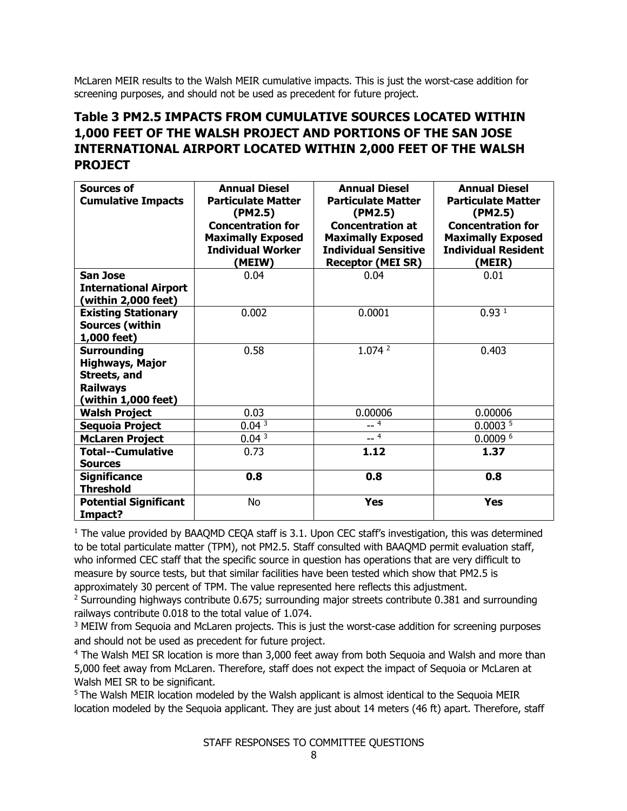McLaren MEIR results to the Walsh MEIR cumulative impacts. This is just the worst-case addition for screening purposes, and should not be used as precedent for future project.

# **Table 3 PM2.5 IMPACTS FROM CUMULATIVE SOURCES LOCATED WITHIN 1,000 FEET OF THE WALSH PROJECT AND PORTIONS OF THE SAN JOSE INTERNATIONAL AIRPORT LOCATED WITHIN 2,000 FEET OF THE WALSH PROJECT**

| Sources of<br><b>Cumulative Impacts</b>                                                                       | <b>Annual Diesel</b><br><b>Particulate Matter</b><br>(PM2.5)<br><b>Concentration for</b><br><b>Maximally Exposed</b><br><b>Individual Worker</b><br>(MEIW) | <b>Annual Diesel</b><br><b>Particulate Matter</b><br>(PM2.5)<br><b>Concentration at</b><br><b>Maximally Exposed</b><br><b>Individual Sensitive</b><br><b>Receptor (MEI SR)</b> | <b>Annual Diesel</b><br><b>Particulate Matter</b><br>(PM2.5)<br><b>Concentration for</b><br><b>Maximally Exposed</b><br><b>Individual Resident</b><br>(MEIR) |
|---------------------------------------------------------------------------------------------------------------|------------------------------------------------------------------------------------------------------------------------------------------------------------|--------------------------------------------------------------------------------------------------------------------------------------------------------------------------------|--------------------------------------------------------------------------------------------------------------------------------------------------------------|
| <b>San Jose</b>                                                                                               | 0.04                                                                                                                                                       | 0.04                                                                                                                                                                           | 0.01                                                                                                                                                         |
| <b>International Airport</b><br>(within 2,000 feet)                                                           |                                                                                                                                                            |                                                                                                                                                                                |                                                                                                                                                              |
| <b>Existing Stationary</b><br><b>Sources (within</b><br>1,000 feet)                                           | 0.002                                                                                                                                                      | 0.0001                                                                                                                                                                         | 0.93 <sup>1</sup>                                                                                                                                            |
| <b>Surrounding</b><br><b>Highways, Major</b><br><b>Streets, and</b><br><b>Railways</b><br>(within 1,000 feet) | 0.58                                                                                                                                                       | 1.074 <sup>2</sup>                                                                                                                                                             | 0.403                                                                                                                                                        |
| <b>Walsh Project</b>                                                                                          | 0.03                                                                                                                                                       | 0.00006                                                                                                                                                                        | 0.00006                                                                                                                                                      |
| Sequoia Project                                                                                               | 0.04 <sup>3</sup>                                                                                                                                          | $-4$                                                                                                                                                                           | 0.0003 <sup>5</sup>                                                                                                                                          |
| <b>McLaren Project</b>                                                                                        | 0.04 <sup>3</sup>                                                                                                                                          | $-4$                                                                                                                                                                           | 0.00096                                                                                                                                                      |
| <b>Total--Cumulative</b><br><b>Sources</b>                                                                    | 0.73                                                                                                                                                       | 1.12                                                                                                                                                                           | 1.37                                                                                                                                                         |
| <b>Significance</b><br><b>Threshold</b>                                                                       | 0.8                                                                                                                                                        | 0.8                                                                                                                                                                            | 0.8                                                                                                                                                          |
| <b>Potential Significant</b><br>Impact?                                                                       | <b>No</b>                                                                                                                                                  | <b>Yes</b>                                                                                                                                                                     | <b>Yes</b>                                                                                                                                                   |

<sup>1</sup> The value provided by BAAQMD CEQA staff is 3.1. Upon CEC staff's investigation, this was determined to be total particulate matter (TPM), not PM2.5. Staff consulted with BAAQMD permit evaluation staff, who informed CEC staff that the specific source in question has operations that are very difficult to measure by source tests, but that similar facilities have been tested which show that PM2.5 is approximately 30 percent of TPM. The value represented here reflects this adjustment.

 $2$  Surrounding highways contribute 0.675; surrounding major streets contribute 0.381 and surrounding railways contribute 0.018 to the total value of 1.074.

<sup>3</sup> MEIW from Sequoia and McLaren projects. This is just the worst-case addition for screening purposes and should not be used as precedent for future project.

<sup>4</sup> The Walsh MEI SR location is more than 3,000 feet away from both Sequoia and Walsh and more than 5,000 feet away from McLaren. Therefore, staff does not expect the impact of Sequoia or McLaren at Walsh MEI SR to be significant.

5 The Walsh MEIR location modeled by the Walsh applicant is almost identical to the Sequoia MEIR location modeled by the Sequoia applicant. They are just about 14 meters (46 ft) apart. Therefore, staff

STAFF RESPONSES TO COMMITTEE QUESTIONS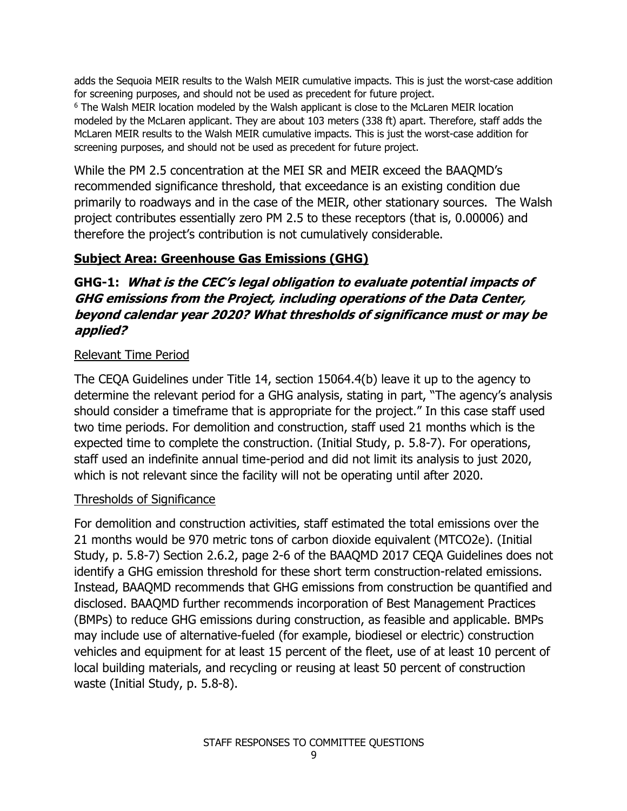adds the Sequoia MEIR results to the Walsh MEIR cumulative impacts. This is just the worst-case addition for screening purposes, and should not be used as precedent for future project.

<sup>6</sup> The Walsh MEIR location modeled by the Walsh applicant is close to the McLaren MEIR location modeled by the McLaren applicant. They are about 103 meters (338 ft) apart. Therefore, staff adds the McLaren MEIR results to the Walsh MEIR cumulative impacts. This is just the worst-case addition for screening purposes, and should not be used as precedent for future project.

While the PM 2.5 concentration at the MEI SR and MEIR exceed the BAAQMD's recommended significance threshold, that exceedance is an existing condition due primarily to roadways and in the case of the MEIR, other stationary sources. The Walsh project contributes essentially zero PM 2.5 to these receptors (that is, 0.00006) and therefore the project's contribution is not cumulatively considerable.

### **Subject Area: Greenhouse Gas Emissions (GHG)**

# **GHG-1: What is the CEC's legal obligation to evaluate potential impacts of GHG emissions from the Project, including operations of the Data Center, beyond calendar year 2020? What thresholds of significance must or may be applied?**

### Relevant Time Period

The CEQA Guidelines under Title 14, section 15064.4(b) leave it up to the agency to determine the relevant period for a GHG analysis, stating in part, "The agency's analysis should consider a timeframe that is appropriate for the project." In this case staff used two time periods. For demolition and construction, staff used 21 months which is the expected time to complete the construction. (Initial Study, p. 5.8-7). For operations, staff used an indefinite annual time-period and did not limit its analysis to just 2020, which is not relevant since the facility will not be operating until after 2020.

### Thresholds of Significance

For demolition and construction activities, staff estimated the total emissions over the 21 months would be 970 metric tons of carbon dioxide equivalent (MTCO2e). (Initial Study, p. 5.8-7) Section 2.6.2, page 2-6 of the BAAQMD 2017 CEQA Guidelines does not identify a GHG emission threshold for these short term construction-related emissions. Instead, BAAQMD recommends that GHG emissions from construction be quantified and disclosed. BAAQMD further recommends incorporation of Best Management Practices (BMPs) to reduce GHG emissions during construction, as feasible and applicable. BMPs may include use of alternative-fueled (for example, biodiesel or electric) construction vehicles and equipment for at least 15 percent of the fleet, use of at least 10 percent of local building materials, and recycling or reusing at least 50 percent of construction waste (Initial Study, p. 5.8-8).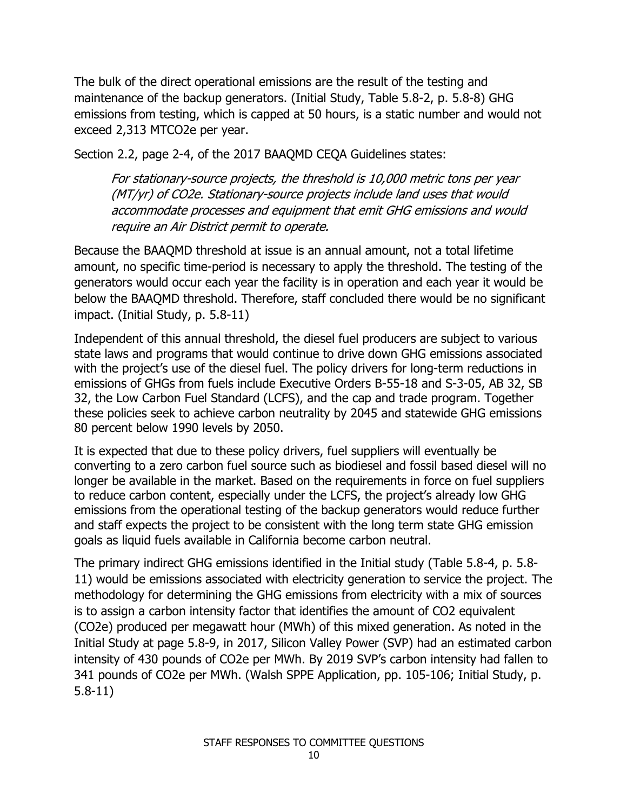The bulk of the direct operational emissions are the result of the testing and maintenance of the backup generators. (Initial Study, Table 5.8-2, p. 5.8-8) GHG emissions from testing, which is capped at 50 hours, is a static number and would not exceed 2,313 MTCO2e per year.

Section 2.2, page 2-4, of the 2017 BAAQMD CEQA Guidelines states:

For stationary-source projects, the threshold is 10,000 metric tons per year (MT/yr) of CO2e. Stationary-source projects include land uses that would accommodate processes and equipment that emit GHG emissions and would require an Air District permit to operate.

Because the BAAQMD threshold at issue is an annual amount, not a total lifetime amount, no specific time-period is necessary to apply the threshold. The testing of the generators would occur each year the facility is in operation and each year it would be below the BAAQMD threshold. Therefore, staff concluded there would be no significant impact. (Initial Study, p. 5.8-11)

Independent of this annual threshold, the diesel fuel producers are subject to various state laws and programs that would continue to drive down GHG emissions associated with the project's use of the diesel fuel. The policy drivers for long-term reductions in emissions of GHGs from fuels include Executive Orders B-55-18 and S-3-05, AB 32, SB 32, the Low Carbon Fuel Standard (LCFS), and the cap and trade program. Together these policies seek to achieve carbon neutrality by 2045 and statewide GHG emissions 80 percent below 1990 levels by 2050.

It is expected that due to these policy drivers, fuel suppliers will eventually be converting to a zero carbon fuel source such as biodiesel and fossil based diesel will no longer be available in the market. Based on the requirements in force on fuel suppliers to reduce carbon content, especially under the LCFS, the project's already low GHG emissions from the operational testing of the backup generators would reduce further and staff expects the project to be consistent with the long term state GHG emission goals as liquid fuels available in California become carbon neutral.

The primary indirect GHG emissions identified in the Initial study (Table 5.8-4, p. 5.8- 11) would be emissions associated with electricity generation to service the project. The methodology for determining the GHG emissions from electricity with a mix of sources is to assign a carbon intensity factor that identifies the amount of CO2 equivalent (CO2e) produced per megawatt hour (MWh) of this mixed generation. As noted in the Initial Study at page 5.8-9, in 2017, Silicon Valley Power (SVP) had an estimated carbon intensity of 430 pounds of CO2e per MWh. By 2019 SVP's carbon intensity had fallen to 341 pounds of CO2e per MWh. (Walsh SPPE Application, pp. 105-106; Initial Study, p. 5.8-11)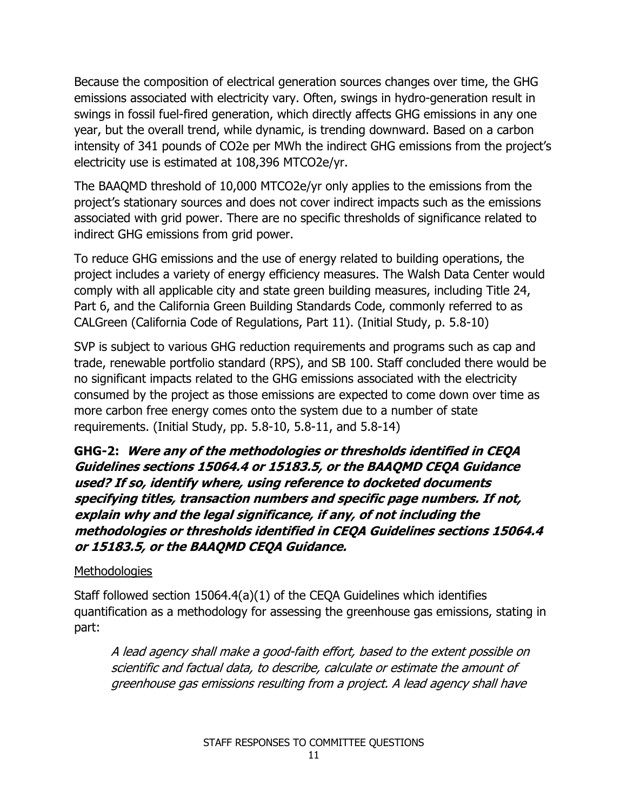Because the composition of electrical generation sources changes over time, the GHG emissions associated with electricity vary. Often, swings in hydro-generation result in swings in fossil fuel-fired generation, which directly affects GHG emissions in any one year, but the overall trend, while dynamic, is trending downward. Based on a carbon intensity of 341 pounds of CO2e per MWh the indirect GHG emissions from the project's electricity use is estimated at 108,396 MTCO2e/yr.

The BAAQMD threshold of 10,000 MTCO2e/yr only applies to the emissions from the project's stationary sources and does not cover indirect impacts such as the emissions associated with grid power. There are no specific thresholds of significance related to indirect GHG emissions from grid power.

To reduce GHG emissions and the use of energy related to building operations, the project includes a variety of energy efficiency measures. The Walsh Data Center would comply with all applicable city and state green building measures, including Title 24, Part 6, and the California Green Building Standards Code, commonly referred to as CALGreen (California Code of Regulations, Part 11). (Initial Study, p. 5.8-10)

SVP is subject to various GHG reduction requirements and programs such as cap and trade, renewable portfolio standard (RPS), and SB 100. Staff concluded there would be no significant impacts related to the GHG emissions associated with the electricity consumed by the project as those emissions are expected to come down over time as more carbon free energy comes onto the system due to a number of state requirements. (Initial Study, pp. 5.8-10, 5.8-11, and 5.8-14)

**GHG-2: Were any of the methodologies or thresholds identified in CEQA Guidelines sections 15064.4 or 15183.5, or the BAAQMD CEQA Guidance used? If so, identify where, using reference to docketed documents specifying titles, transaction numbers and specific page numbers. If not, explain why and the legal significance, if any, of not including the methodologies or thresholds identified in CEQA Guidelines sections 15064.4 or 15183.5, or the BAAQMD CEQA Guidance.**

# **Methodologies**

Staff followed section 15064.4(a)(1) of the CEQA Guidelines which identifies quantification as a methodology for assessing the greenhouse gas emissions, stating in part:

A lead agency shall make a good-faith effort, based to the extent possible on scientific and factual data, to describe, calculate or estimate the amount of greenhouse gas emissions resulting from a project. A lead agency shall have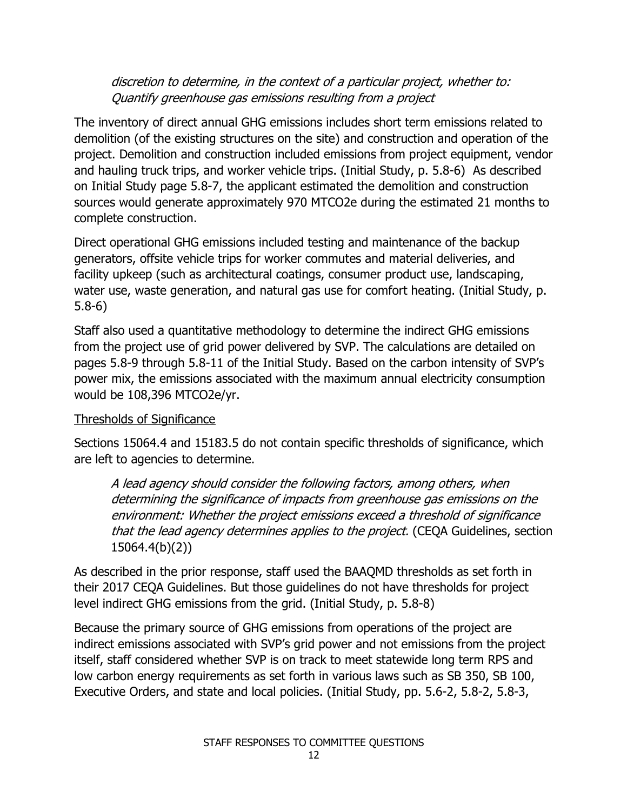## discretion to determine, in the context of a particular project, whether to: Quantify greenhouse gas emissions resulting from a project

The inventory of direct annual GHG emissions includes short term emissions related to demolition (of the existing structures on the site) and construction and operation of the project. Demolition and construction included emissions from project equipment, vendor and hauling truck trips, and worker vehicle trips. (Initial Study, p. 5.8-6) As described on Initial Study page 5.8-7, the applicant estimated the demolition and construction sources would generate approximately 970 MTCO2e during the estimated 21 months to complete construction.

Direct operational GHG emissions included testing and maintenance of the backup generators, offsite vehicle trips for worker commutes and material deliveries, and facility upkeep (such as architectural coatings, consumer product use, landscaping, water use, waste generation, and natural gas use for comfort heating. (Initial Study, p. 5.8-6)

Staff also used a quantitative methodology to determine the indirect GHG emissions from the project use of grid power delivered by SVP. The calculations are detailed on pages 5.8-9 through 5.8-11 of the Initial Study. Based on the carbon intensity of SVP's power mix, the emissions associated with the maximum annual electricity consumption would be 108,396 MTCO2e/yr.

# Thresholds of Significance

Sections 15064.4 and 15183.5 do not contain specific thresholds of significance, which are left to agencies to determine.

A lead agency should consider the following factors, among others, when determining the significance of impacts from greenhouse gas emissions on the environment: Whether the project emissions exceed a threshold of significance that the lead agency determines applies to the project. (CEQA Guidelines, section 15064.4(b)(2))

As described in the prior response, staff used the BAAQMD thresholds as set forth in their 2017 CEQA Guidelines. But those guidelines do not have thresholds for project level indirect GHG emissions from the grid. (Initial Study, p. 5.8-8)

Because the primary source of GHG emissions from operations of the project are indirect emissions associated with SVP's grid power and not emissions from the project itself, staff considered whether SVP is on track to meet statewide long term RPS and low carbon energy requirements as set forth in various laws such as SB 350, SB 100, Executive Orders, and state and local policies. (Initial Study, pp. 5.6-2, 5.8-2, 5.8-3,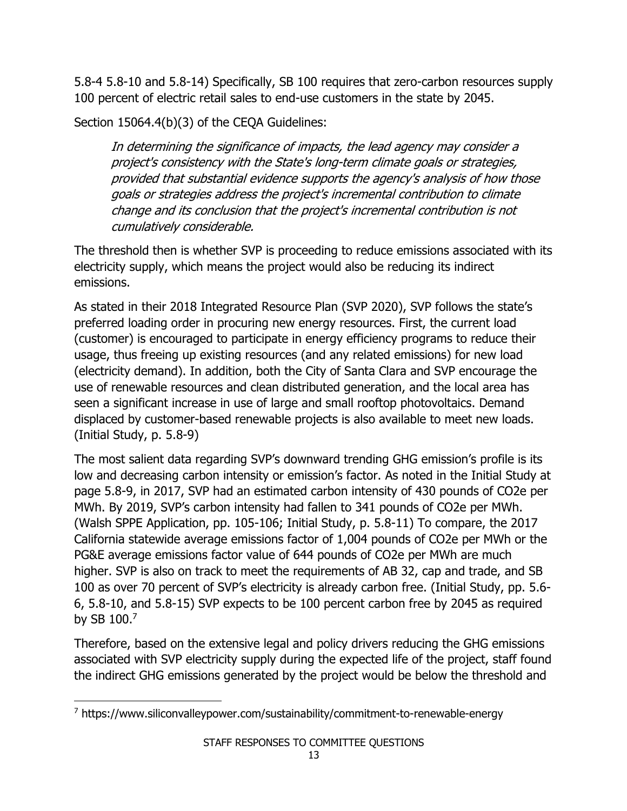5.8-4 5.8-10 and 5.8-14) Specifically, SB 100 requires that zero-carbon resources supply 100 percent of electric retail sales to end-use customers in the state by 2045.

Section 15064.4(b)(3) of the CEQA Guidelines:

In determining the significance of impacts, the lead agency may consider a project's consistency with the State's long-term climate goals or strategies, provided that substantial evidence supports the agency's analysis of how those goals or strategies address the project's incremental contribution to climate change and its conclusion that the project's incremental contribution is not cumulatively considerable.

The threshold then is whether SVP is proceeding to reduce emissions associated with its electricity supply, which means the project would also be reducing its indirect emissions.

As stated in their 2018 Integrated Resource Plan (SVP 2020), SVP follows the state's preferred loading order in procuring new energy resources. First, the current load (customer) is encouraged to participate in energy efficiency programs to reduce their usage, thus freeing up existing resources (and any related emissions) for new load (electricity demand). In addition, both the City of Santa Clara and SVP encourage the use of renewable resources and clean distributed generation, and the local area has seen a significant increase in use of large and small rooftop photovoltaics. Demand displaced by customer-based renewable projects is also available to meet new loads. (Initial Study, p. 5.8-9)

The most salient data regarding SVP's downward trending GHG emission's profile is its low and decreasing carbon intensity or emission's factor. As noted in the Initial Study at page 5.8-9, in 2017, SVP had an estimated carbon intensity of 430 pounds of CO2e per MWh. By 2019, SVP's carbon intensity had fallen to 341 pounds of CO2e per MWh. (Walsh SPPE Application, pp. 105-106; Initial Study, p. 5.8-11) To compare, the 2017 California statewide average emissions factor of 1,004 pounds of CO2e per MWh or the PG&E average emissions factor value of 644 pounds of CO2e per MWh are much higher. SVP is also on track to meet the requirements of AB 32, cap and trade, and SB 100 as over 70 percent of SVP's electricity is already carbon free. (Initial Study, pp. 5.6- 6, 5.8-10, and 5.8-15) SVP expects to be 100 percent carbon free by 2045 as required by SB 100.7

Therefore, based on the extensive legal and policy drivers reducing the GHG emissions associated with SVP electricity supply during the expected life of the project, staff found the indirect GHG emissions generated by the project would be below the threshold and

<sup>7</sup> https://www.siliconvalleypower.com/sustainability/commitment-to-renewable-energy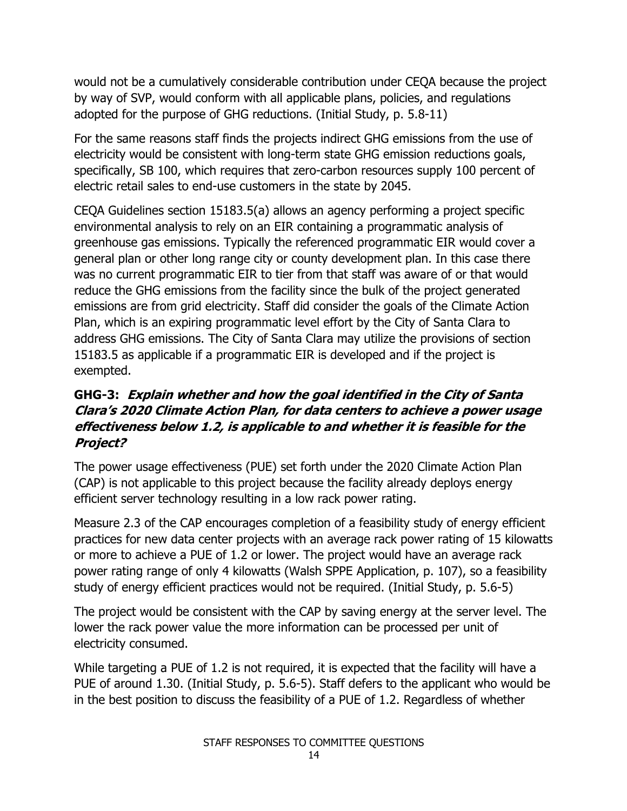would not be a cumulatively considerable contribution under CEQA because the project by way of SVP, would conform with all applicable plans, policies, and regulations adopted for the purpose of GHG reductions. (Initial Study, p. 5.8-11)

For the same reasons staff finds the projects indirect GHG emissions from the use of electricity would be consistent with long-term state GHG emission reductions goals, specifically, SB 100, which requires that zero-carbon resources supply 100 percent of electric retail sales to end-use customers in the state by 2045.

CEQA Guidelines section 15183.5(a) allows an agency performing a project specific environmental analysis to rely on an EIR containing a programmatic analysis of greenhouse gas emissions. Typically the referenced programmatic EIR would cover a general plan or other long range city or county development plan. In this case there was no current programmatic EIR to tier from that staff was aware of or that would reduce the GHG emissions from the facility since the bulk of the project generated emissions are from grid electricity. Staff did consider the goals of the Climate Action Plan, which is an expiring programmatic level effort by the City of Santa Clara to address GHG emissions. The City of Santa Clara may utilize the provisions of section 15183.5 as applicable if a programmatic EIR is developed and if the project is exempted.

# **GHG-3: Explain whether and how the goal identified in the City of Santa Clara's 2020 Climate Action Plan, for data centers to achieve a power usage effectiveness below 1.2, is applicable to and whether it is feasible for the Project?**

The power usage effectiveness (PUE) set forth under the 2020 Climate Action Plan (CAP) is not applicable to this project because the facility already deploys energy efficient server technology resulting in a low rack power rating.

Measure 2.3 of the CAP encourages completion of a feasibility study of energy efficient practices for new data center projects with an average rack power rating of 15 kilowatts or more to achieve a PUE of 1.2 or lower. The project would have an average rack power rating range of only 4 kilowatts (Walsh SPPE Application, p. 107), so a feasibility study of energy efficient practices would not be required. (Initial Study, p. 5.6-5)

The project would be consistent with the CAP by saving energy at the server level. The lower the rack power value the more information can be processed per unit of electricity consumed.

While targeting a PUE of 1.2 is not required, it is expected that the facility will have a PUE of around 1.30. (Initial Study, p. 5.6-5). Staff defers to the applicant who would be in the best position to discuss the feasibility of a PUE of 1.2. Regardless of whether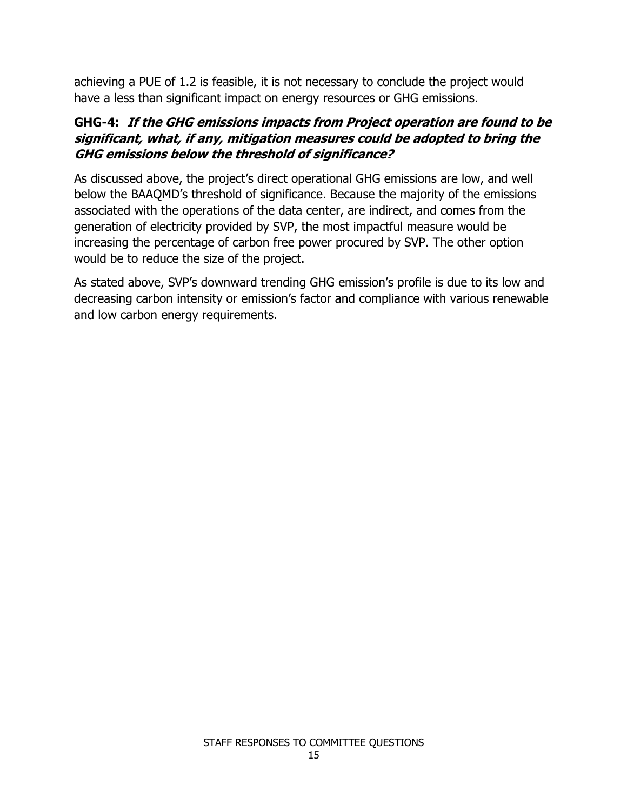achieving a PUE of 1.2 is feasible, it is not necessary to conclude the project would have a less than significant impact on energy resources or GHG emissions.

# **GHG-4: If the GHG emissions impacts from Project operation are found to be significant, what, if any, mitigation measures could be adopted to bring the GHG emissions below the threshold of significance?**

As discussed above, the project's direct operational GHG emissions are low, and well below the BAAQMD's threshold of significance. Because the majority of the emissions associated with the operations of the data center, are indirect, and comes from the generation of electricity provided by SVP, the most impactful measure would be increasing the percentage of carbon free power procured by SVP. The other option would be to reduce the size of the project.

As stated above, SVP's downward trending GHG emission's profile is due to its low and decreasing carbon intensity or emission's factor and compliance with various renewable and low carbon energy requirements.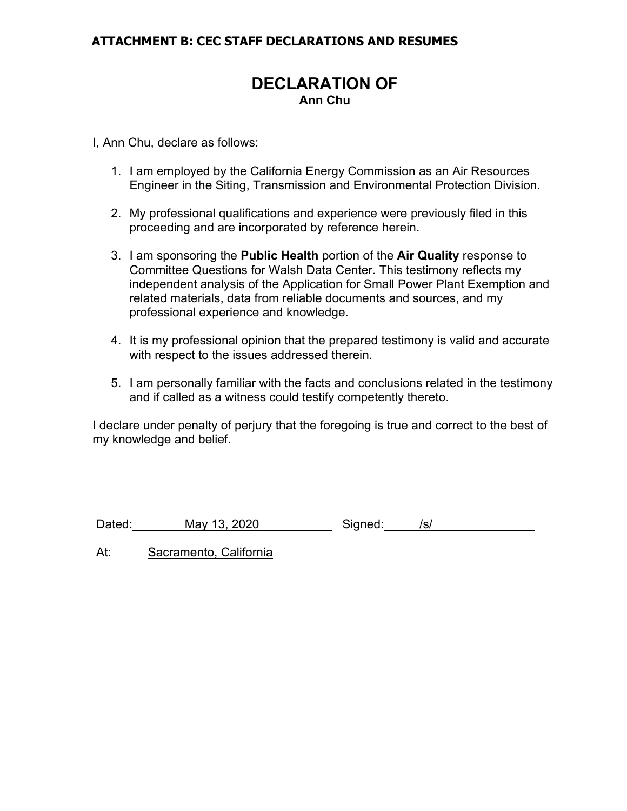## **ATTACHMENT B: CEC STAFF DECLARATIONS AND RESUMES**

# **DECLARATION OF Ann Chu**

I, Ann Chu, declare as follows:

- 1. I am employed by the California Energy Commission as an Air Resources Engineer in the Siting, Transmission and Environmental Protection Division.
- 2. My professional qualifications and experience were previously filed in this proceeding and are incorporated by reference herein.
- 3. I am sponsoring the **Public Health** portion of the **Air Quality** response to Committee Questions for Walsh Data Center. This testimony reflects my independent analysis of the Application for Small Power Plant Exemption and related materials, data from reliable documents and sources, and my professional experience and knowledge.
- 4. It is my professional opinion that the prepared testimony is valid and accurate with respect to the issues addressed therein.
- 5. I am personally familiar with the facts and conclusions related in the testimony and if called as a witness could testify competently thereto.

I declare under penalty of perjury that the foregoing is true and correct to the best of my knowledge and belief.

Dated: May 13, 2020 Signed: /s/

At: Sacramento, California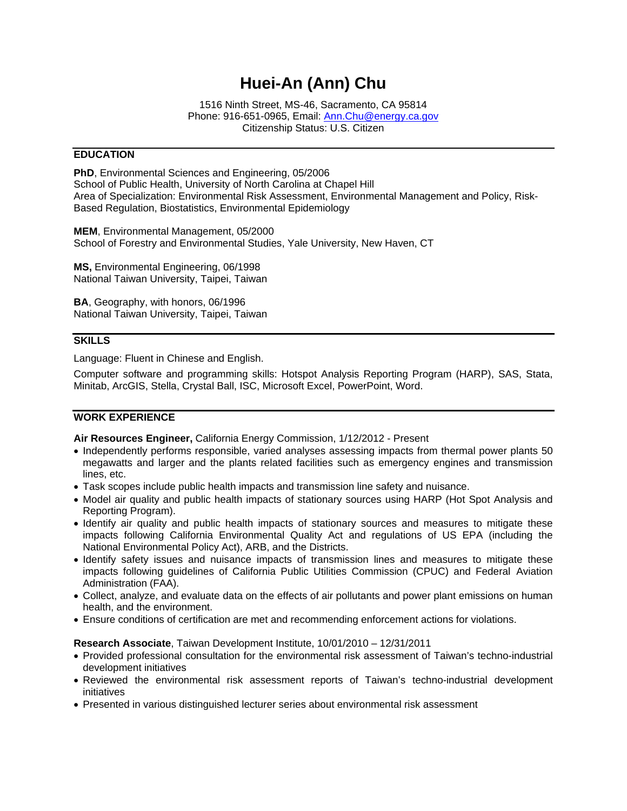# **Huei-An (Ann) Chu**

1516 Ninth Street, MS-46, Sacramento, CA 95814 Phone: 916-651-0965, Email: Ann.Chu@energy.ca.gov Citizenship Status: U.S. Citizen

#### **EDUCATION**

**PhD**, Environmental Sciences and Engineering, 05/2006 School of Public Health, University of North Carolina at Chapel Hill Area of Specialization: Environmental Risk Assessment, Environmental Management and Policy, Risk-Based Regulation, Biostatistics, Environmental Epidemiology

**MEM**, Environmental Management, 05/2000 School of Forestry and Environmental Studies, Yale University, New Haven, CT

**MS,** Environmental Engineering, 06/1998 National Taiwan University, Taipei, Taiwan

**BA**, Geography, with honors, 06/1996 National Taiwan University, Taipei, Taiwan

#### **SKILLS**

Language: Fluent in Chinese and English.

Computer software and programming skills: Hotspot Analysis Reporting Program (HARP), SAS, Stata, Minitab, ArcGIS, Stella, Crystal Ball, ISC, Microsoft Excel, PowerPoint, Word.

#### **WORK EXPERIENCE**

**Air Resources Engineer,** California Energy Commission, 1/12/2012 - Present

- Independently performs responsible, varied analyses assessing impacts from thermal power plants 50 megawatts and larger and the plants related facilities such as emergency engines and transmission lines, etc.
- Task scopes include public health impacts and transmission line safety and nuisance.
- Model air quality and public health impacts of stationary sources using HARP (Hot Spot Analysis and Reporting Program).
- Identify air quality and public health impacts of stationary sources and measures to mitigate these impacts following California Environmental Quality Act and regulations of US EPA (including the National Environmental Policy Act), ARB, and the Districts.
- Identify safety issues and nuisance impacts of transmission lines and measures to mitigate these impacts following guidelines of California Public Utilities Commission (CPUC) and Federal Aviation Administration (FAA).
- Collect, analyze, and evaluate data on the effects of air pollutants and power plant emissions on human health, and the environment.
- Ensure conditions of certification are met and recommending enforcement actions for violations.

#### **Research Associate**, Taiwan Development Institute, 10/01/2010 – 12/31/2011

- Provided professional consultation for the environmental risk assessment of Taiwan's techno-industrial development initiatives
- Reviewed the environmental risk assessment reports of Taiwan's techno-industrial development initiatives
- Presented in various distinguished lecturer series about environmental risk assessment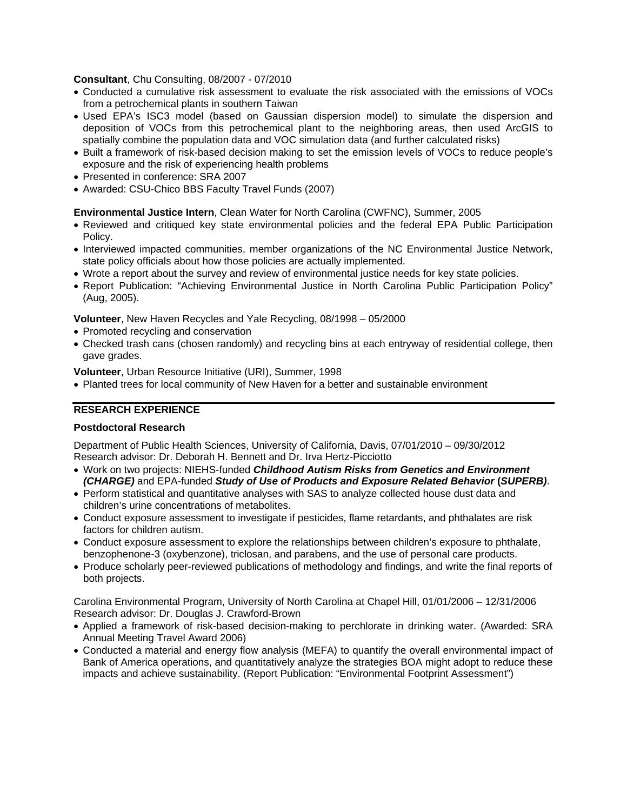**Consultant**, Chu Consulting, 08/2007 - 07/2010

- Conducted a cumulative risk assessment to evaluate the risk associated with the emissions of VOCs from a petrochemical plants in southern Taiwan
- Used EPA's ISC3 model (based on Gaussian dispersion model) to simulate the dispersion and deposition of VOCs from this petrochemical plant to the neighboring areas, then used ArcGIS to spatially combine the population data and VOC simulation data (and further calculated risks)
- Built a framework of risk-based decision making to set the emission levels of VOCs to reduce people's exposure and the risk of experiencing health problems
- Presented in conference: SRA 2007
- Awarded: CSU-Chico BBS Faculty Travel Funds (2007)

#### **Environmental Justice Intern**, Clean Water for North Carolina (CWFNC), Summer, 2005

- Reviewed and critiqued key state environmental policies and the federal EPA Public Participation Policy.
- Interviewed impacted communities, member organizations of the NC Environmental Justice Network, state policy officials about how those policies are actually implemented.
- Wrote a report about the survey and review of environmental justice needs for key state policies.
- Report Publication: "Achieving Environmental Justice in North Carolina Public Participation Policy" (Aug, 2005).

**Volunteer**, New Haven Recycles and Yale Recycling, 08/1998 – 05/2000

- Promoted recycling and conservation
- Checked trash cans (chosen randomly) and recycling bins at each entryway of residential college, then gave grades.

**Volunteer**, Urban Resource Initiative (URI), Summer, 1998

Planted trees for local community of New Haven for a better and sustainable environment

#### **RESEARCH EXPERIENCE**

#### **Postdoctoral Research**

Department of Public Health Sciences, University of California, Davis, 07/01/2010 – 09/30/2012 Research advisor: Dr. Deborah H. Bennett and Dr. Irva Hertz-Picciotto

- Work on two projects: NIEHS-funded *Childhood Autism Risks from Genetics and Environment (CHARGE)* and EPA-funded *Study of Use of Products and Exposure Related Behavior* **(***SUPERB)*.
- Perform statistical and quantitative analyses with SAS to analyze collected house dust data and children's urine concentrations of metabolites.
- Conduct exposure assessment to investigate if pesticides, flame retardants, and phthalates are risk factors for children autism.
- Conduct exposure assessment to explore the relationships between children's exposure to phthalate, benzophenone-3 (oxybenzone), triclosan, and parabens, and the use of personal care products.
- Produce scholarly peer-reviewed publications of methodology and findings, and write the final reports of both projects.

Carolina Environmental Program, University of North Carolina at Chapel Hill, 01/01/2006 – 12/31/2006 Research advisor: Dr. Douglas J. Crawford-Brown

- Applied a framework of risk-based decision-making to perchlorate in drinking water. (Awarded: SRA Annual Meeting Travel Award 2006)
- Conducted a material and energy flow analysis (MEFA) to quantify the overall environmental impact of Bank of America operations, and quantitatively analyze the strategies BOA might adopt to reduce these impacts and achieve sustainability. (Report Publication: "Environmental Footprint Assessment")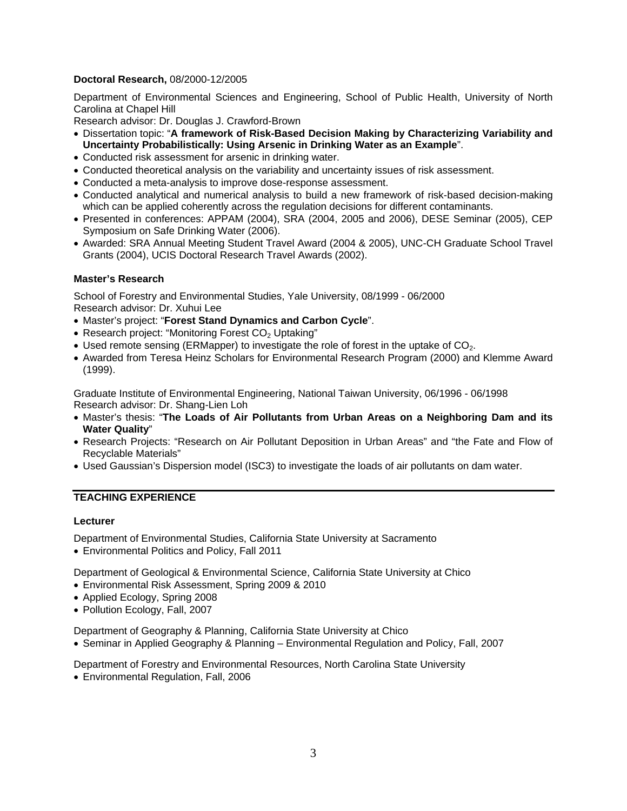#### **Doctoral Research,** 08/2000-12/2005

Department of Environmental Sciences and Engineering, School of Public Health, University of North Carolina at Chapel Hill

Research advisor: Dr. Douglas J. Crawford-Brown

- Dissertation topic: "**A framework of Risk-Based Decision Making by Characterizing Variability and Uncertainty Probabilistically: Using Arsenic in Drinking Water as an Example**".
- Conducted risk assessment for arsenic in drinking water.
- Conducted theoretical analysis on the variability and uncertainty issues of risk assessment.
- Conducted a meta-analysis to improve dose-response assessment.
- Conducted analytical and numerical analysis to build a new framework of risk-based decision-making which can be applied coherently across the regulation decisions for different contaminants.
- Presented in conferences: APPAM (2004), SRA (2004, 2005 and 2006), DESE Seminar (2005), CEP Symposium on Safe Drinking Water (2006).
- Awarded: SRA Annual Meeting Student Travel Award (2004 & 2005), UNC-CH Graduate School Travel Grants (2004), UCIS Doctoral Research Travel Awards (2002).

#### **Master's Research**

School of Forestry and Environmental Studies, Yale University, 08/1999 - 06/2000 Research advisor: Dr. Xuhui Lee

- Master's project: "**Forest Stand Dynamics and Carbon Cycle**".
- Research project: "Monitoring Forest  $CO<sub>2</sub>$  Uptaking"
- $\bullet$  Used remote sensing (ERMapper) to investigate the role of forest in the uptake of CO<sub>2</sub>.
- Awarded from Teresa Heinz Scholars for Environmental Research Program (2000) and Klemme Award (1999).

Graduate Institute of Environmental Engineering, National Taiwan University, 06/1996 - 06/1998 Research advisor: Dr. Shang-Lien Loh

- Master's thesis: "**The Loads of Air Pollutants from Urban Areas on a Neighboring Dam and its Water Quality**"
- Research Projects: "Research on Air Pollutant Deposition in Urban Areas" and "the Fate and Flow of Recyclable Materials"
- Used Gaussian's Dispersion model (ISC3) to investigate the loads of air pollutants on dam water.

#### **TEACHING EXPERIENCE**

#### **Lecturer**

Department of Environmental Studies, California State University at Sacramento

Environmental Politics and Policy, Fall 2011

Department of Geological & Environmental Science, California State University at Chico

- Environmental Risk Assessment, Spring 2009 & 2010
- Applied Ecology, Spring 2008
- Pollution Ecology, Fall, 2007

Department of Geography & Planning, California State University at Chico

Seminar in Applied Geography & Planning – Environmental Regulation and Policy, Fall, 2007

Department of Forestry and Environmental Resources, North Carolina State University

Environmental Regulation, Fall, 2006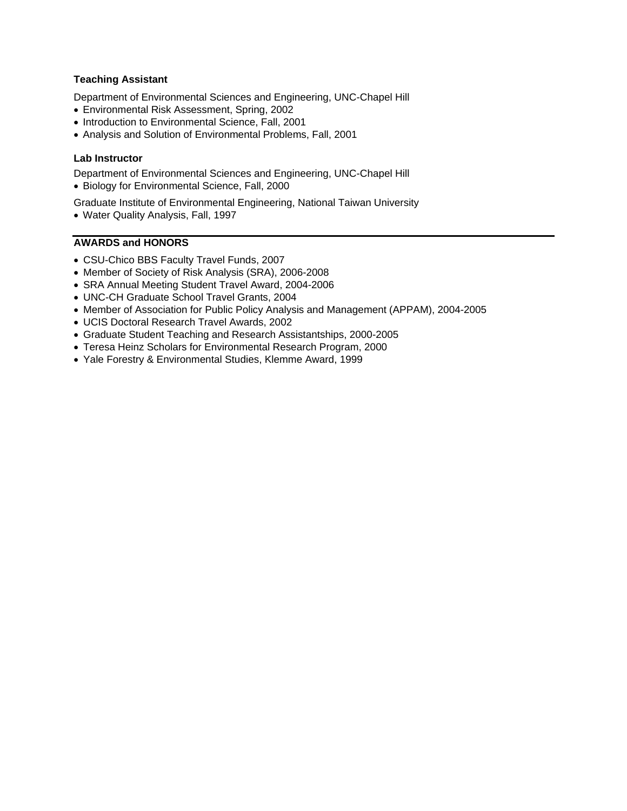#### **Teaching Assistant**

Department of Environmental Sciences and Engineering, UNC-Chapel Hill

- Environmental Risk Assessment, Spring, 2002
- Introduction to Environmental Science, Fall, 2001
- Analysis and Solution of Environmental Problems, Fall, 2001

#### **Lab Instructor**

Department of Environmental Sciences and Engineering, UNC-Chapel Hill Biology for Environmental Science, Fall, 2000

- Graduate Institute of Environmental Engineering, National Taiwan University
- Water Quality Analysis, Fall, 1997

#### **AWARDS and HONORS**

- CSU-Chico BBS Faculty Travel Funds, 2007
- Member of Society of Risk Analysis (SRA), 2006-2008
- SRA Annual Meeting Student Travel Award, 2004-2006
- UNC-CH Graduate School Travel Grants, 2004
- Member of Association for Public Policy Analysis and Management (APPAM), 2004-2005
- UCIS Doctoral Research Travel Awards, 2002
- Graduate Student Teaching and Research Assistantships, 2000-2005
- Teresa Heinz Scholars for Environmental Research Program, 2000
- Yale Forestry & Environmental Studies, Klemme Award, 1999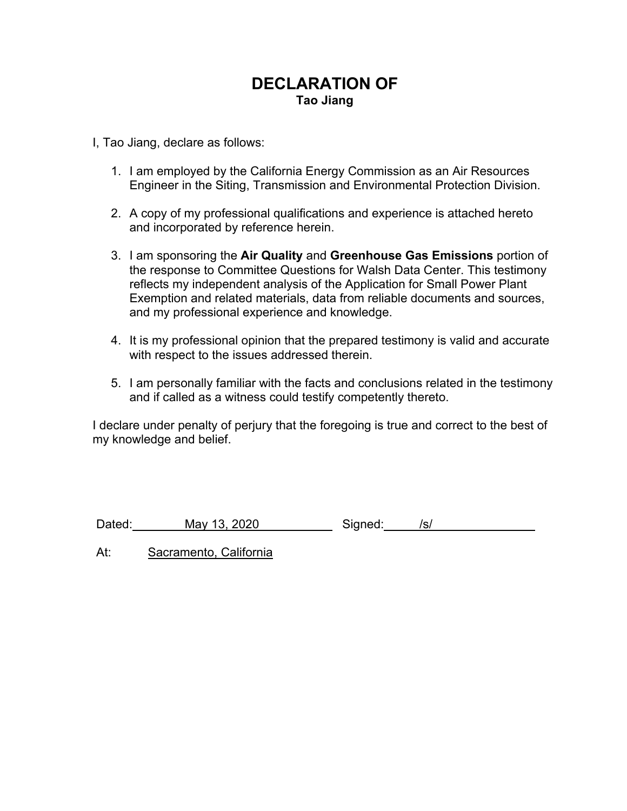# **DECLARATION OF Tao Jiang**

I, Tao Jiang, declare as follows:

- 1. I am employed by the California Energy Commission as an Air Resources Engineer in the Siting, Transmission and Environmental Protection Division.
- 2. A copy of my professional qualifications and experience is attached hereto and incorporated by reference herein.
- 3. I am sponsoring the **Air Quality** and **Greenhouse Gas Emissions** portion of the response to Committee Questions for Walsh Data Center. This testimony reflects my independent analysis of the Application for Small Power Plant Exemption and related materials, data from reliable documents and sources, and my professional experience and knowledge.
- 4. It is my professional opinion that the prepared testimony is valid and accurate with respect to the issues addressed therein.
- 5. I am personally familiar with the facts and conclusions related in the testimony and if called as a witness could testify competently thereto.

I declare under penalty of perjury that the foregoing is true and correct to the best of my knowledge and belief.

Dated: May 13, 2020 Signed: /s/

At: Sacramento, California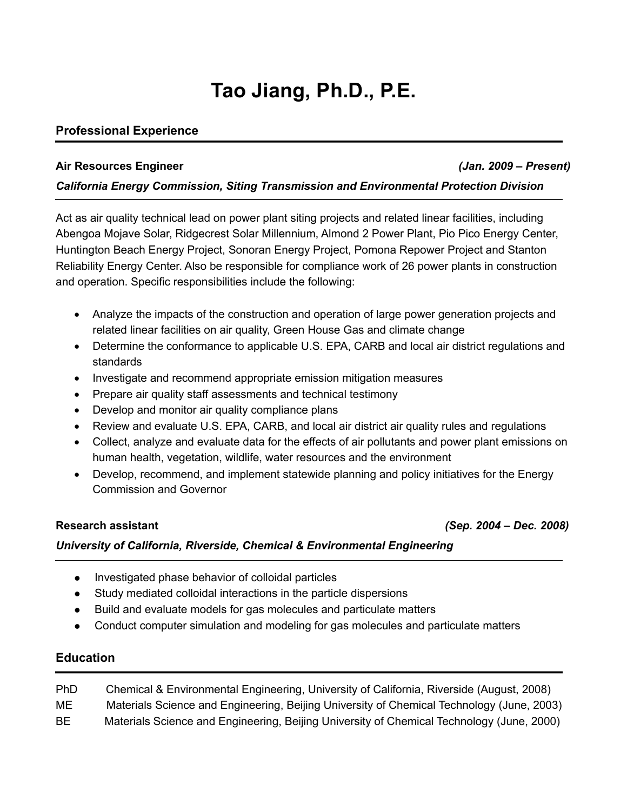# **Tao Jiang, Ph.D., P.E.**

### **Professional Experience**

#### **Air Resources Engineer** *(Jan. 2009 – Present)*

#### *California Energy Commission, Siting Transmission and Environmental Protection Division*

Act as air quality technical lead on power plant siting projects and related linear facilities, including Abengoa Mojave Solar, Ridgecrest Solar Millennium, Almond 2 Power Plant, Pio Pico Energy Center, Huntington Beach Energy Project, Sonoran Energy Project, Pomona Repower Project and Stanton Reliability Energy Center. Also be responsible for compliance work of 26 power plants in construction and operation. Specific responsibilities include the following:

- Analyze the impacts of the construction and operation of large power generation projects and related linear facilities on air quality, Green House Gas and climate change
- Determine the conformance to applicable U.S. EPA, CARB and local air district regulations and standards
- Investigate and recommend appropriate emission mitigation measures
- Prepare air quality staff assessments and technical testimony
- Develop and monitor air quality compliance plans
- Review and evaluate U.S. EPA, CARB, and local air district air quality rules and regulations
- Collect, analyze and evaluate data for the effects of air pollutants and power plant emissions on human health, vegetation, wildlife, water resources and the environment
- Develop, recommend, and implement statewide planning and policy initiatives for the Energy Commission and Governor

#### **Research assistant** *(Sep. 2004 – Dec. 2008)*

#### *University of California, Riverside, Chemical & Environmental Engineering*

- Investigated phase behavior of colloidal particles
- Study mediated colloidal interactions in the particle dispersions
- Build and evaluate models for gas molecules and particulate matters
- Conduct computer simulation and modeling for gas molecules and particulate matters

#### **Education**

| PhD. | Chemical & Environmental Engineering, University of California, Riverside (August, 2008)  |
|------|-------------------------------------------------------------------------------------------|
| MЕ   | Materials Science and Engineering, Beijing University of Chemical Technology (June, 2003) |
| BE   | Materials Science and Engineering, Beijing University of Chemical Technology (June, 2000) |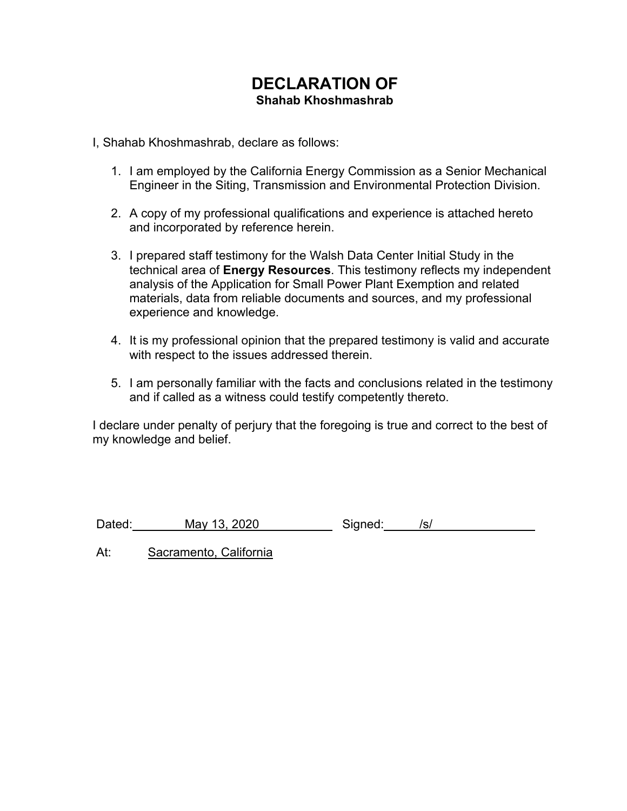# **DECLARATION OF Shahab Khoshmashrab**

I, Shahab Khoshmashrab, declare as follows:

- 1. I am employed by the California Energy Commission as a Senior Mechanical Engineer in the Siting, Transmission and Environmental Protection Division.
- 2. A copy of my professional qualifications and experience is attached hereto and incorporated by reference herein.
- 3. I prepared staff testimony for the Walsh Data Center Initial Study in the technical area of **Energy Resources**. This testimony reflects my independent analysis of the Application for Small Power Plant Exemption and related materials, data from reliable documents and sources, and my professional experience and knowledge.
- 4. It is my professional opinion that the prepared testimony is valid and accurate with respect to the issues addressed therein.
- 5. I am personally familiar with the facts and conclusions related in the testimony and if called as a witness could testify competently thereto.

I declare under penalty of perjury that the foregoing is true and correct to the best of my knowledge and belief.

Dated: May 13, 2020 Signed: /s/

At: Sacramento, California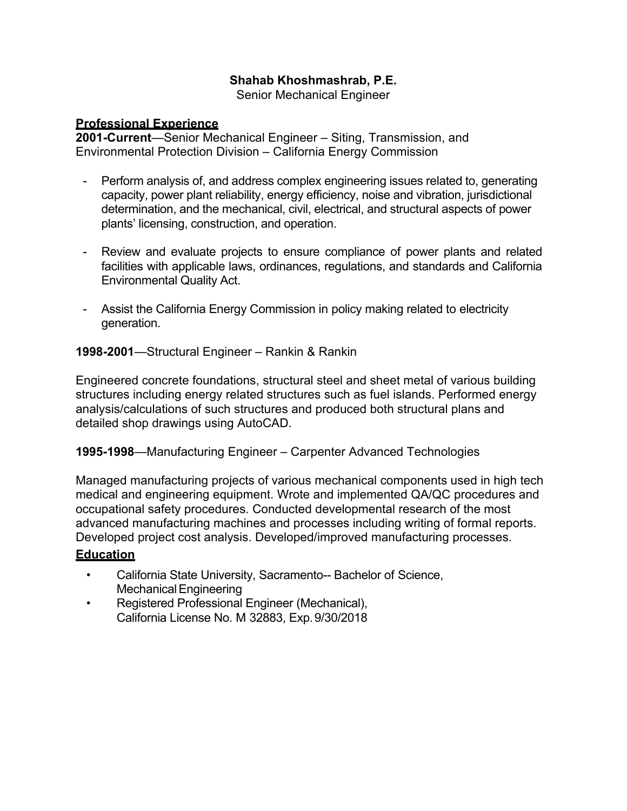## **Shahab Khoshmashrab, P.E.**

Senior Mechanical Engineer

#### **Professional Experience**

**2001-Current**—Senior Mechanical Engineer – Siting, Transmission, and Environmental Protection Division – California Energy Commission

- Perform analysis of, and address complex engineering issues related to, generating capacity, power plant reliability, energy efficiency, noise and vibration, jurisdictional determination, and the mechanical, civil, electrical, and structural aspects of power plants' licensing, construction, and operation.
- Review and evaluate projects to ensure compliance of power plants and related facilities with applicable laws, ordinances, regulations, and standards and California Environmental Quality Act.
- Assist the California Energy Commission in policy making related to electricity generation.

#### **1998-2001**—Structural Engineer – Rankin & Rankin

Engineered concrete foundations, structural steel and sheet metal of various building structures including energy related structures such as fuel islands. Performed energy analysis/calculations of such structures and produced both structural plans and detailed shop drawings using AutoCAD.

#### **1995-1998**—Manufacturing Engineer – Carpenter Advanced Technologies

Managed manufacturing projects of various mechanical components used in high tech medical and engineering equipment. Wrote and implemented QA/QC procedures and occupational safety procedures. Conducted developmental research of the most advanced manufacturing machines and processes including writing of formal reports. Developed project cost analysis. Developed/improved manufacturing processes.

### **Education**

- California State University, Sacramento-- Bachelor of Science, Mechanical Engineering
- Registered Professional Engineer (Mechanical), California License No. M 32883, Exp. 9/30/2018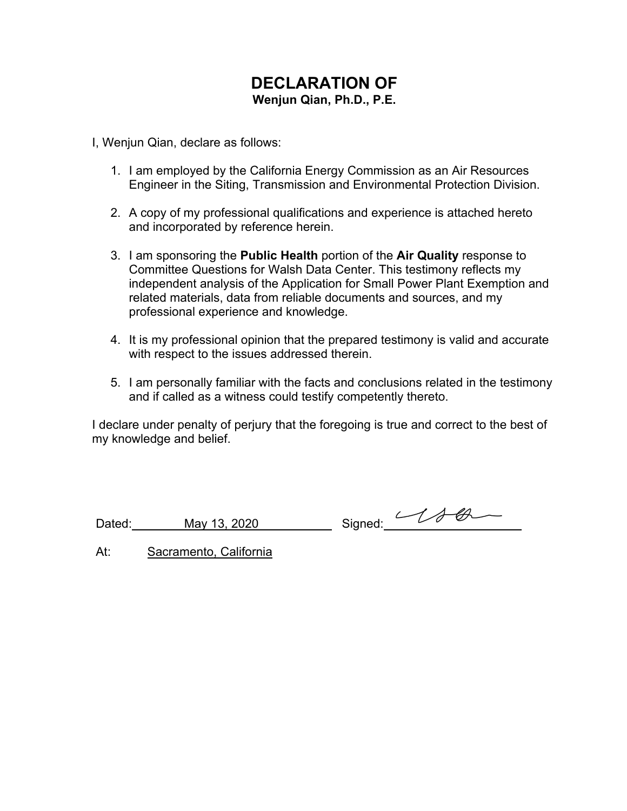# **DECLARATION OF Wenjun Qian, Ph.D., P.E.**

I, Wenjun Qian, declare as follows:

- 1. I am employed by the California Energy Commission as an Air Resources Engineer in the Siting, Transmission and Environmental Protection Division.
- 2. A copy of my professional qualifications and experience is attached hereto and incorporated by reference herein.
- 3. I am sponsoring the **Public Health** portion of the **Air Quality** response to Committee Questions for Walsh Data Center. This testimony reflects my independent analysis of the Application for Small Power Plant Exemption and related materials, data from reliable documents and sources, and my professional experience and knowledge.
- 4. It is my professional opinion that the prepared testimony is valid and accurate with respect to the issues addressed therein.
- 5. I am personally familiar with the facts and conclusions related in the testimony and if called as a witness could testify competently thereto.

I declare under penalty of perjury that the foregoing is true and correct to the best of my knowledge and belief.

Dated: May 13, 2020 Signed: 44

At: Sacramento, California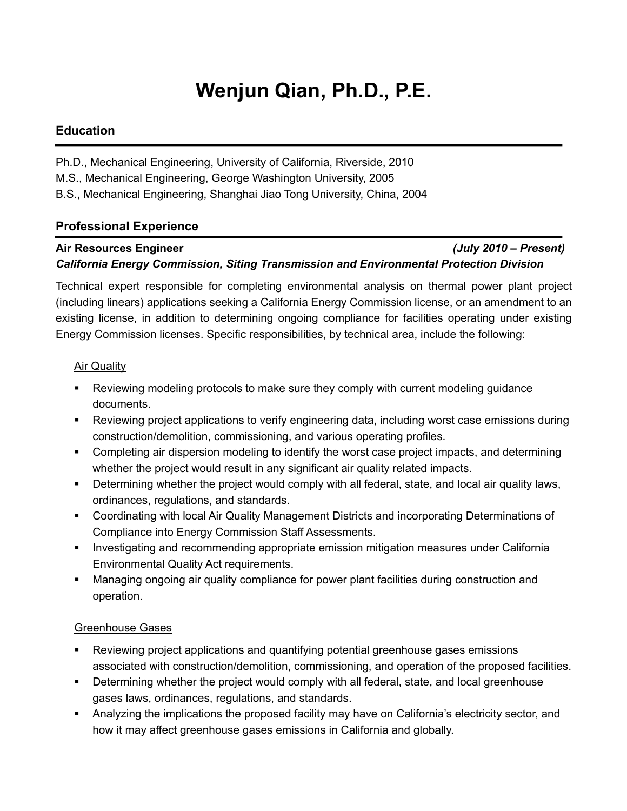# **Wenjun Qian, Ph.D., P.E.**

#### **Education**

Ph.D., Mechanical Engineering, University of California, Riverside, 2010

M.S., Mechanical Engineering, George Washington University, 2005

B.S., Mechanical Engineering, Shanghai Jiao Tong University, China, 2004

#### **Professional Experience**

### **Air Resources Engineer** *(July 2010 – Present) California Energy Commission, Siting Transmission and Environmental Protection Division*

Technical expert responsible for completing environmental analysis on thermal power plant project (including linears) applications seeking a California Energy Commission license, or an amendment to an existing license, in addition to determining ongoing compliance for facilities operating under existing Energy Commission licenses. Specific responsibilities, by technical area, include the following:

#### **Air Quality**

- Reviewing modeling protocols to make sure they comply with current modeling guidance documents.
- Reviewing project applications to verify engineering data, including worst case emissions during construction/demolition, commissioning, and various operating profiles.
- Completing air dispersion modeling to identify the worst case project impacts, and determining whether the project would result in any significant air quality related impacts.
- Determining whether the project would comply with all federal, state, and local air quality laws, ordinances, regulations, and standards.
- Coordinating with local Air Quality Management Districts and incorporating Determinations of Compliance into Energy Commission Staff Assessments.
- **■** Investigating and recommending appropriate emission mitigation measures under California Environmental Quality Act requirements.
- Managing ongoing air quality compliance for power plant facilities during construction and operation.

#### Greenhouse Gases

- **•** Reviewing project applications and quantifying potential greenhouse gases emissions associated with construction/demolition, commissioning, and operation of the proposed facilities.
- Determining whether the project would comply with all federal, state, and local greenhouse gases laws, ordinances, regulations, and standards.
- Analyzing the implications the proposed facility may have on California's electricity sector, and how it may affect greenhouse gases emissions in California and globally.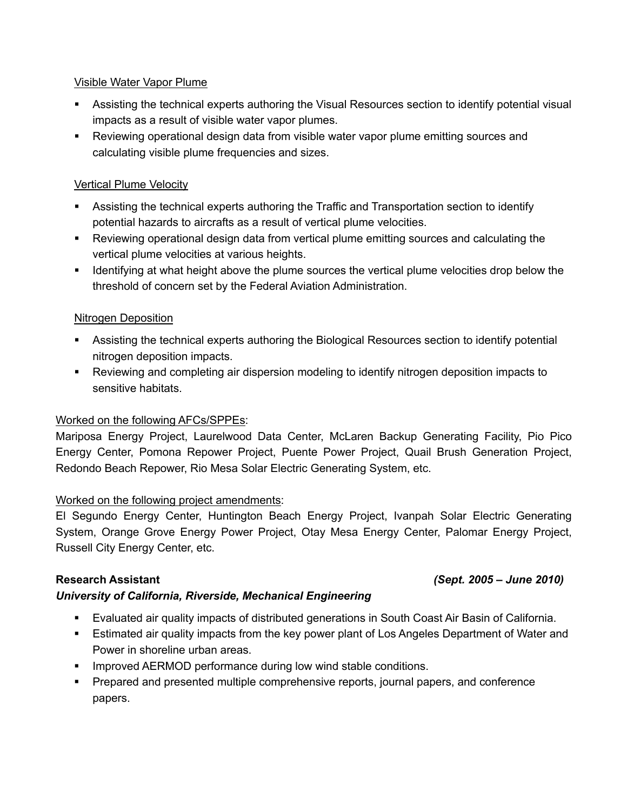#### Visible Water Vapor Plume

- Assisting the technical experts authoring the Visual Resources section to identify potential visual impacts as a result of visible water vapor plumes.
- Reviewing operational design data from visible water vapor plume emitting sources and calculating visible plume frequencies and sizes.

#### Vertical Plume Velocity

- Assisting the technical experts authoring the Traffic and Transportation section to identify potential hazards to aircrafts as a result of vertical plume velocities.
- Reviewing operational design data from vertical plume emitting sources and calculating the vertical plume velocities at various heights.
- **■** Identifying at what height above the plume sources the vertical plume velocities drop below the threshold of concern set by the Federal Aviation Administration.

#### Nitrogen Deposition

- Assisting the technical experts authoring the Biological Resources section to identify potential nitrogen deposition impacts.
- Reviewing and completing air dispersion modeling to identify nitrogen deposition impacts to sensitive habitats.

### Worked on the following AFCs/SPPEs:

Mariposa Energy Project, Laurelwood Data Center, McLaren Backup Generating Facility, Pio Pico Energy Center, Pomona Repower Project, Puente Power Project, Quail Brush Generation Project, Redondo Beach Repower, Rio Mesa Solar Electric Generating System, etc.

#### Worked on the following project amendments:

El Segundo Energy Center, Huntington Beach Energy Project, Ivanpah Solar Electric Generating System, Orange Grove Energy Power Project, Otay Mesa Energy Center, Palomar Energy Project, Russell City Energy Center, etc.

#### *University of California, Riverside, Mechanical Engineering*

- Evaluated air quality impacts of distributed generations in South Coast Air Basin of California.
- Estimated air quality impacts from the key power plant of Los Angeles Department of Water and Power in shoreline urban areas.
- **■** Improved AERMOD performance during low wind stable conditions.
- Prepared and presented multiple comprehensive reports, journal papers, and conference papers.

#### **Research Assistant** *(Sept. 2005 – June 2010)*